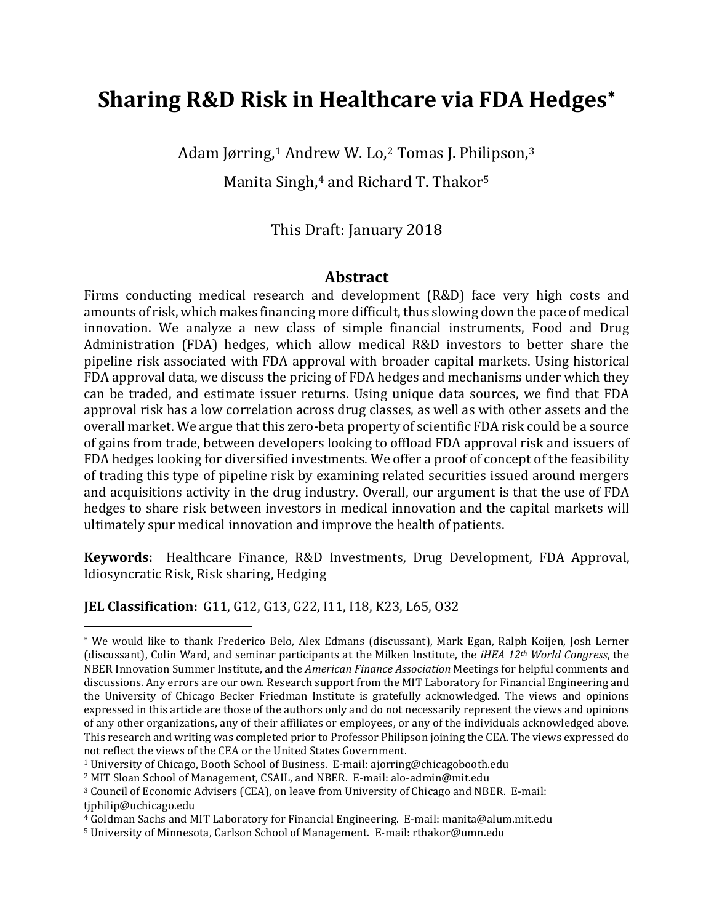# **Sharing R&D Risk in Healthcare via FDA Hedges**[∗](#page-0-0)

Adam Jørring,<sup>[1](#page-0-1)</sup> Andrew W. Lo,<sup>[2](#page-0-2)</sup> Tomas J. Philipson,<sup>[3](#page-0-3)</sup>

Manita Singh,<sup>[4](#page-0-4)</sup> and Richard T. Thakor<sup>[5](#page-0-5)</sup>

# This Draft: January 2018

### **Abstract**

Firms conducting medical research and development (R&D) face very high costs and amounts of risk, which makes financing more difficult, thus slowing down the pace of medical innovation. We analyze a new class of simple financial instruments, Food and Drug Administration (FDA) hedges, which allow medical R&D investors to better share the pipeline risk associated with FDA approval with broader capital markets. Using historical FDA approval data, we discuss the pricing of FDA hedges and mechanisms under which they can be traded, and estimate issuer returns. Using unique data sources, we find that FDA approval risk has a low correlation across drug classes, as well as with other assets and the overall market. We argue that this zero-beta property of scientific FDA risk could be a source of gains from trade, between developers looking to offload FDA approval risk and issuers of FDA hedges looking for diversified investments. We offer a proof of concept of the feasibility of trading this type of pipeline risk by examining related securities issued around mergers and acquisitions activity in the drug industry. Overall, our argument is that the use of FDA hedges to share risk between investors in medical innovation and the capital markets will ultimately spur medical innovation and improve the health of patients.

**Keywords:** Healthcare Finance, R&D Investments, Drug Development, FDA Approval, Idiosyncratic Risk, Risk sharing, Hedging

#### **JEL Classification:** G11, G12, G13, G22, I11, I18, K23, L65, O32

<span id="page-0-0"></span><sup>∗</sup> We would like to thank Frederico Belo, Alex Edmans (discussant), Mark Egan, Ralph Koijen, Josh Lerner (discussant), Colin Ward, and seminar participants at the Milken Institute, the *iHEA 12th World Congress*, the NBER Innovation Summer Institute, and the *American Finance Association* Meetings for helpful comments and discussions. Any errors are our own. Research support from the MIT Laboratory for Financial Engineering and the University of Chicago Becker Friedman Institute is gratefully acknowledged. The views and opinions expressed in this article are those of the authors only and do not necessarily represent the views and opinions of any other organizations, any of their affiliates or employees, or any of the individuals acknowledged above. This research and writing was completed prior to Professor Philipson joining the CEA. The views expressed do not reflect the views of the CEA or the United States Government.

<span id="page-0-1"></span><sup>1</sup> University of Chicago, Booth School of Business. E-mail: ajorring@chicagobooth.edu

<span id="page-0-2"></span><sup>2</sup> MIT Sloan School of Management, CSAIL, and NBER. E-mail: alo-admin@mit.edu

<span id="page-0-3"></span><sup>3</sup> Council of Economic Advisers (CEA), on leave from University of Chicago and NBER. E-mail: tiphilip@uchicago.edu

<span id="page-0-4"></span><sup>4</sup> Goldman Sachs and MIT Laboratory for Financial Engineering. E-mail: manita@alum.mit.edu

<span id="page-0-5"></span><sup>5</sup> University of Minnesota, Carlson School of Management. E-mail: rthakor@umn.edu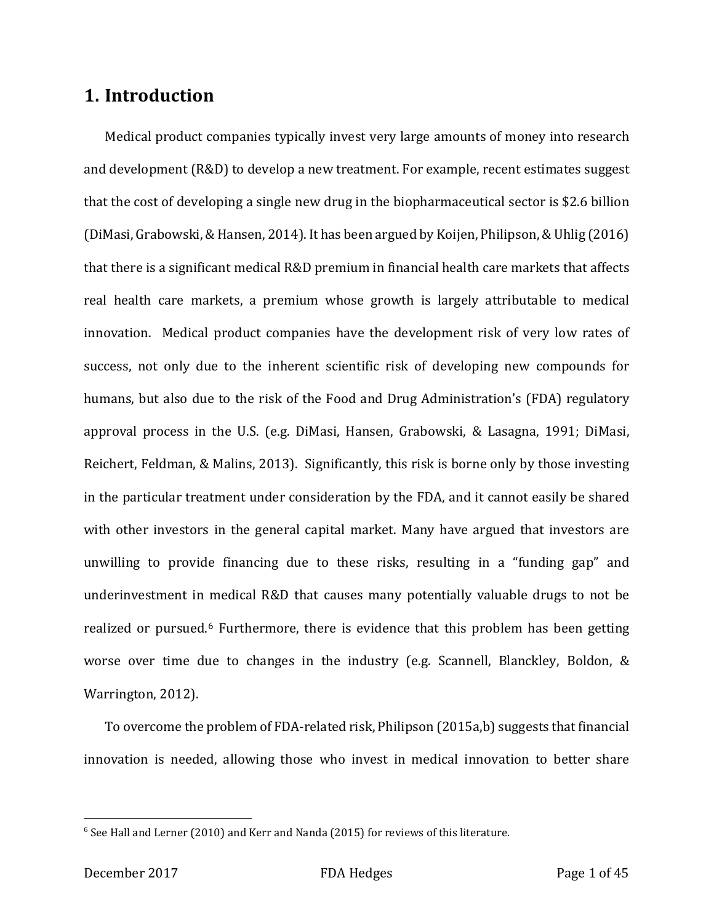# **1. Introduction**

Medical product companies typically invest very large amounts of money into research and development (R&D) to develop a new treatment. For example, recent estimates suggest that the cost of developing a single new drug in the biopharmaceutical sector is \$2.6 billion (DiMasi, Grabowski, & Hansen, 2014). It has been argued by Koijen, Philipson, & Uhlig (2016) that there is a significant medical R&D premium in financial health care markets that affects real health care markets, a premium whose growth is largely attributable to medical innovation. Medical product companies have the development risk of very low rates of success, not only due to the inherent scientific risk of developing new compounds for humans, but also due to the risk of the Food and Drug Administration's (FDA) regulatory approval process in the U.S. (e.g. DiMasi, Hansen, Grabowski, & Lasagna, 1991; DiMasi, Reichert, Feldman, & Malins, 2013). Significantly, this risk is borne only by those investing in the particular treatment under consideration by the FDA, and it cannot easily be shared with other investors in the general capital market. Many have argued that investors are unwilling to provide financing due to these risks, resulting in a "funding gap" and underinvestment in medical R&D that causes many potentially valuable drugs to not be realized or pursued.<sup>[6](#page-1-0)</sup> Furthermore, there is evidence that this problem has been getting worse over time due to changes in the industry (e.g. Scannell, Blanckley, Boldon, & Warrington, 2012).

To overcome the problem of FDA-related risk, Philipson (2015a,b) suggests that financial innovation is needed, allowing those who invest in medical innovation to better share

<span id="page-1-0"></span> $6$  See Hall and Lerner (2010) and Kerr and Nanda (2015) for reviews of this literature.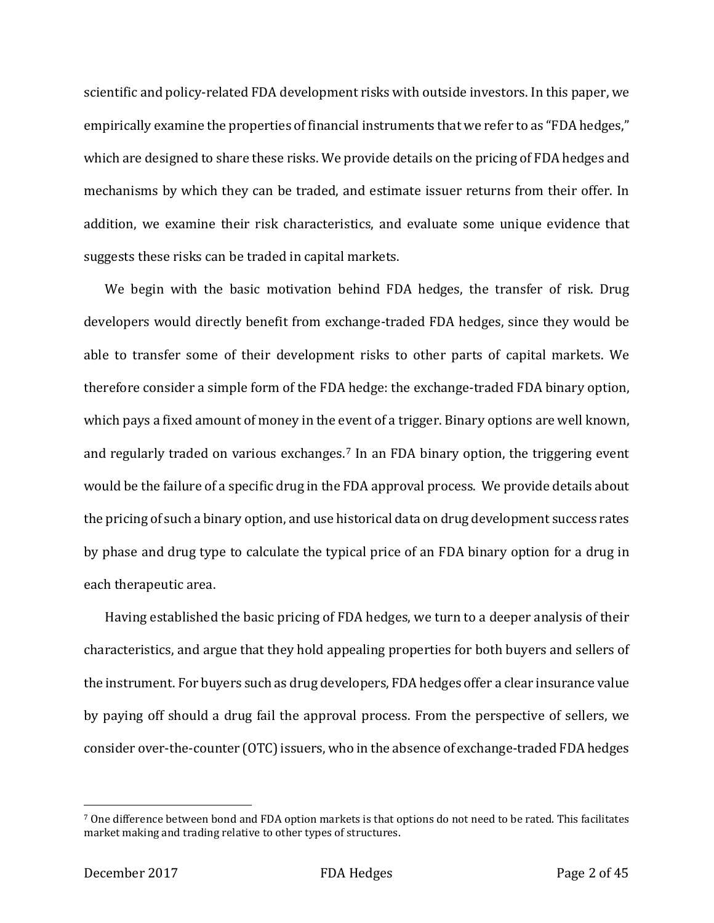scientific and policy-related FDA development risks with outside investors. In this paper, we empirically examine the properties of financial instruments that we refer to as "FDA hedges," which are designed to share these risks. We provide details on the pricing of FDA hedges and mechanisms by which they can be traded, and estimate issuer returns from their offer. In addition, we examine their risk characteristics, and evaluate some unique evidence that suggests these risks can be traded in capital markets.

We begin with the basic motivation behind FDA hedges, the transfer of risk. Drug developers would directly benefit from exchange-traded FDA hedges, since they would be able to transfer some of their development risks to other parts of capital markets. We therefore consider a simple form of the FDA hedge: the exchange-traded FDA binary option, which pays a fixed amount of money in the event of a trigger. Binary options are well known, and regularly traded on various exchanges.[7](#page-2-0) In an FDA binary option, the triggering event would be the failure of a specific drug in the FDA approval process. We provide details about the pricing of such a binary option, and use historical data on drug development success rates by phase and drug type to calculate the typical price of an FDA binary option for a drug in each therapeutic area.

Having established the basic pricing of FDA hedges, we turn to a deeper analysis of their characteristics, and argue that they hold appealing properties for both buyers and sellers of the instrument. For buyers such as drug developers, FDA hedges offer a clear insurance value by paying off should a drug fail the approval process. From the perspective of sellers, we consider over-the-counter (OTC) issuers, who in the absence of exchange-traded FDA hedges

<span id="page-2-0"></span><sup>7</sup> One difference between bond and FDA option markets is that options do not need to be rated. This facilitates market making and trading relative to other types of structures.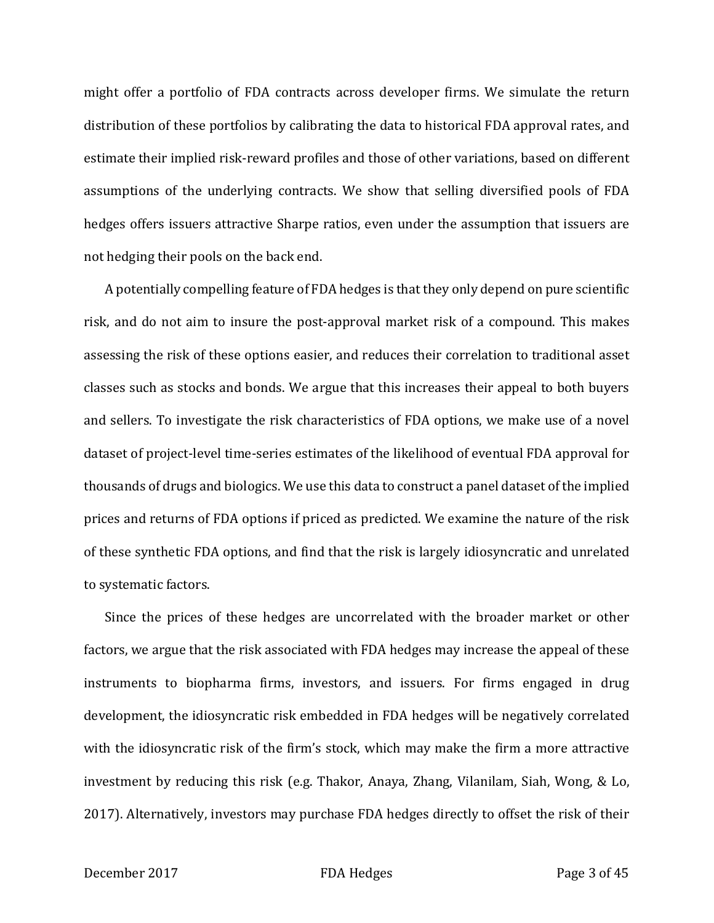might offer a portfolio of FDA contracts across developer firms. We simulate the return distribution of these portfolios by calibrating the data to historical FDA approval rates, and estimate their implied risk-reward profiles and those of other variations, based on different assumptions of the underlying contracts. We show that selling diversified pools of FDA hedges offers issuers attractive Sharpe ratios, even under the assumption that issuers are not hedging their pools on the back end.

A potentially compelling feature of FDA hedges is that they only depend on pure scientific risk, and do not aim to insure the post-approval market risk of a compound. This makes assessing the risk of these options easier, and reduces their correlation to traditional asset classes such as stocks and bonds. We argue that this increases their appeal to both buyers and sellers. To investigate the risk characteristics of FDA options, we make use of a novel dataset of project-level time-series estimates of the likelihood of eventual FDA approval for thousands of drugs and biologics. We use this data to construct a panel dataset of the implied prices and returns of FDA options if priced as predicted. We examine the nature of the risk of these synthetic FDA options, and find that the risk is largely idiosyncratic and unrelated to systematic factors.

Since the prices of these hedges are uncorrelated with the broader market or other factors, we argue that the risk associated with FDA hedges may increase the appeal of these instruments to biopharma firms, investors, and issuers. For firms engaged in drug development, the idiosyncratic risk embedded in FDA hedges will be negatively correlated with the idiosyncratic risk of the firm's stock, which may make the firm a more attractive investment by reducing this risk (e.g. Thakor, Anaya, Zhang, Vilanilam, Siah, Wong, & Lo, 2017). Alternatively, investors may purchase FDA hedges directly to offset the risk of their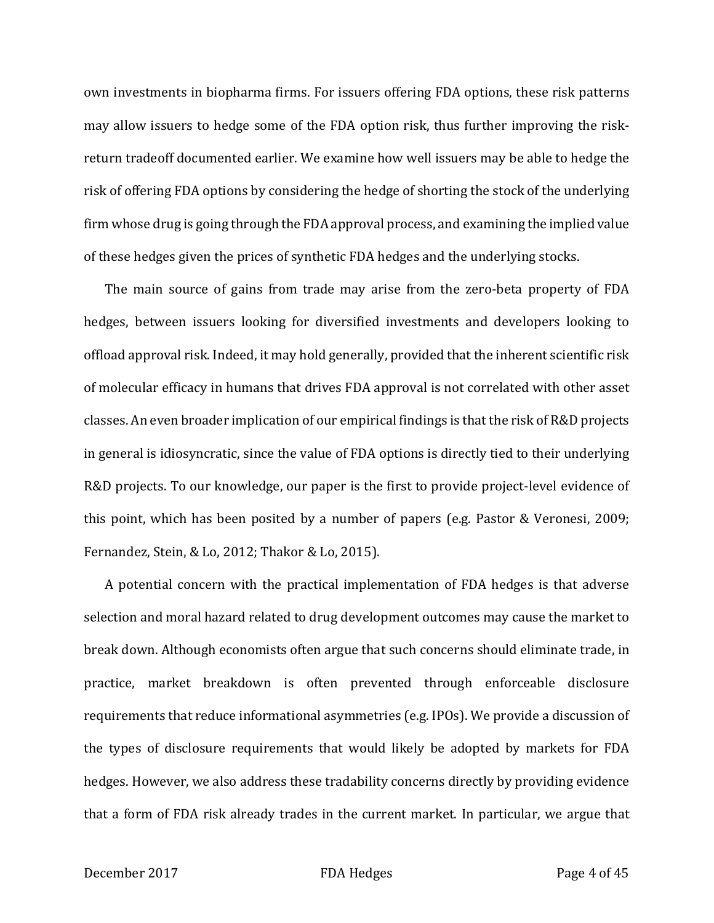own investments in biopharma firms. For issuers offering FDA options, these risk patterns may allow issuers to hedge some of the FDA option risk, thus further improving the riskreturn tradeoff documented earlier. We examine how well issuers may be able to hedge the risk of offering FDA options by considering the hedge of shorting the stock of the underlying firm whose drug is going through the FDA approval process, and examining the implied value of these hedges given the prices of synthetic FDA hedges and the underlying stocks.

The main source of gains from trade may arise from the zero-beta property of FDA hedges, between issuers looking for diversified investments and developers looking to offload approval risk. Indeed, it may hold generally, provided that the inherent scientific risk of molecular efficacy in humans that drives FDA approval is not correlated with other asset classes. An even broader implication of our empirical findings is that the risk of R&D projects in general is idiosyncratic, since the value of FDA options is directly tied to their underlying R&D projects. To our knowledge, our paper is the first to provide project-level evidence of this point, which has been posited by a number of papers (e.g. Pastor & Veronesi, 2009; Fernandez, Stein, & Lo, 2012; Thakor & Lo, 2015).

A potential concern with the practical implementation of FDA hedges is that adverse selection and moral hazard related to drug development outcomes may cause the market to break down. Although economists often argue that such concerns should eliminate trade, in practice, market breakdown is often prevented through enforceable disclosure requirements that reduce informational asymmetries (e.g. IPOs). We provide a discussion of the types of disclosure requirements that would likely be adopted by markets for FDA hedges. However, we also address these tradability concerns directly by providing evidence that a form of FDA risk already trades in the current market. In particular, we argue that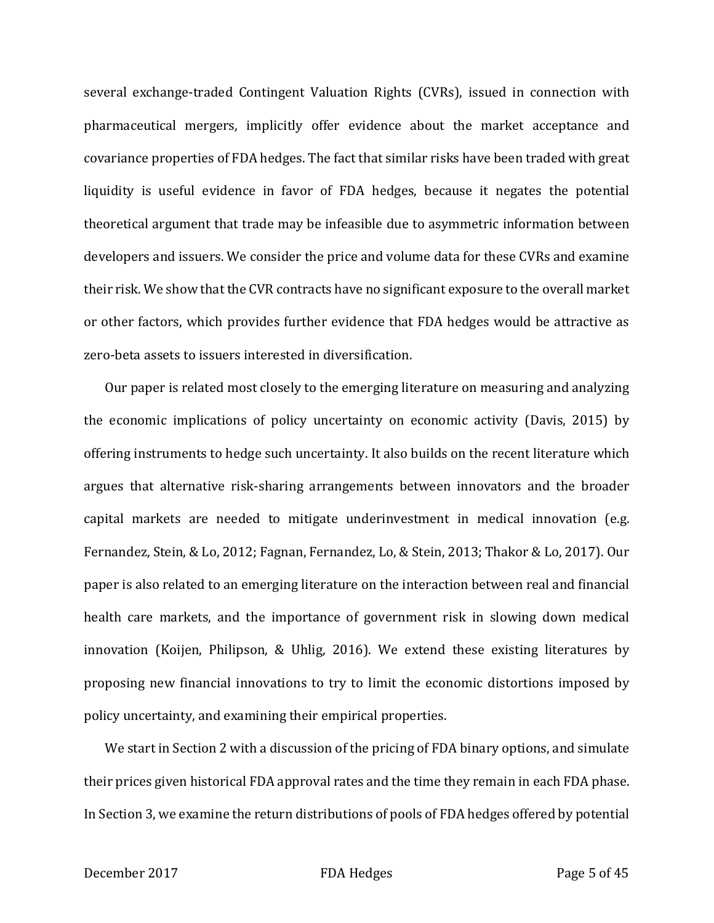several exchange-traded Contingent Valuation Rights (CVRs), issued in connection with pharmaceutical mergers, implicitly offer evidence about the market acceptance and covariance properties of FDA hedges. The fact that similar risks have been traded with great liquidity is useful evidence in favor of FDA hedges, because it negates the potential theoretical argument that trade may be infeasible due to asymmetric information between developers and issuers. We consider the price and volume data for these CVRs and examine their risk. We show that the CVR contracts have no significant exposure to the overall market or other factors, which provides further evidence that FDA hedges would be attractive as zero-beta assets to issuers interested in diversification.

Our paper is related most closely to the emerging literature on measuring and analyzing the economic implications of policy uncertainty on economic activity (Davis, 2015) by offering instruments to hedge such uncertainty. It also builds on the recent literature which argues that alternative risk-sharing arrangements between innovators and the broader capital markets are needed to mitigate underinvestment in medical innovation (e.g. Fernandez, Stein, & Lo, 2012; Fagnan, Fernandez, Lo, & Stein, 2013; Thakor & Lo, 2017). Our paper is also related to an emerging literature on the interaction between real and financial health care markets, and the importance of government risk in slowing down medical innovation (Koijen, Philipson, & Uhlig, 2016). We extend these existing literatures by proposing new financial innovations to try to limit the economic distortions imposed by policy uncertainty, and examining their empirical properties.

We start in Section 2 with a discussion of the pricing of FDA binary options, and simulate their prices given historical FDA approval rates and the time they remain in each FDA phase. In Section 3, we examine the return distributions of pools of FDA hedges offered by potential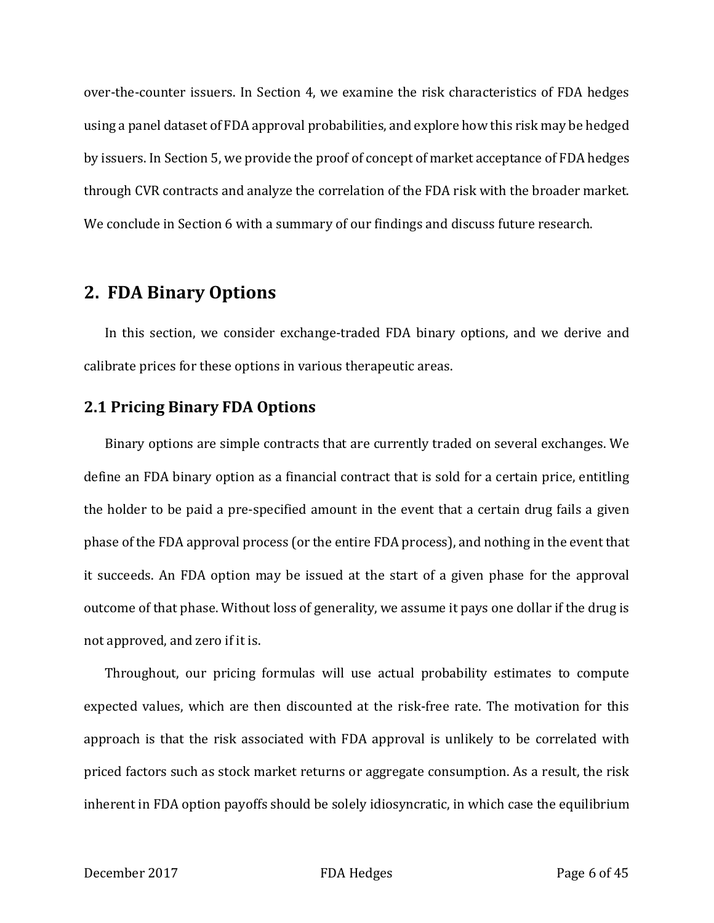over-the-counter issuers. In Section 4, we examine the risk characteristics of FDA hedges using a panel dataset of FDA approval probabilities, and explore how this risk may be hedged by issuers. In Section 5, we provide the proof of concept of market acceptance of FDA hedges through CVR contracts and analyze the correlation of the FDA risk with the broader market. We conclude in Section 6 with a summary of our findings and discuss future research.

# **2. FDA Binary Options**

In this section, we consider exchange-traded FDA binary options, and we derive and calibrate prices for these options in various therapeutic areas.

## **2.1 Pricing Binary FDA Options**

Binary options are simple contracts that are currently traded on several exchanges. We define an FDA binary option as a financial contract that is sold for a certain price, entitling the holder to be paid a pre-specified amount in the event that a certain drug fails a given phase of the FDA approval process (or the entire FDA process), and nothing in the event that it succeeds. An FDA option may be issued at the start of a given phase for the approval outcome of that phase. Without loss of generality, we assume it pays one dollar if the drug is not approved, and zero if it is.

Throughout, our pricing formulas will use actual probability estimates to compute expected values, which are then discounted at the risk-free rate. The motivation for this approach is that the risk associated with FDA approval is unlikely to be correlated with priced factors such as stock market returns or aggregate consumption. As a result, the risk inherent in FDA option payoffs should be solely idiosyncratic, in which case the equilibrium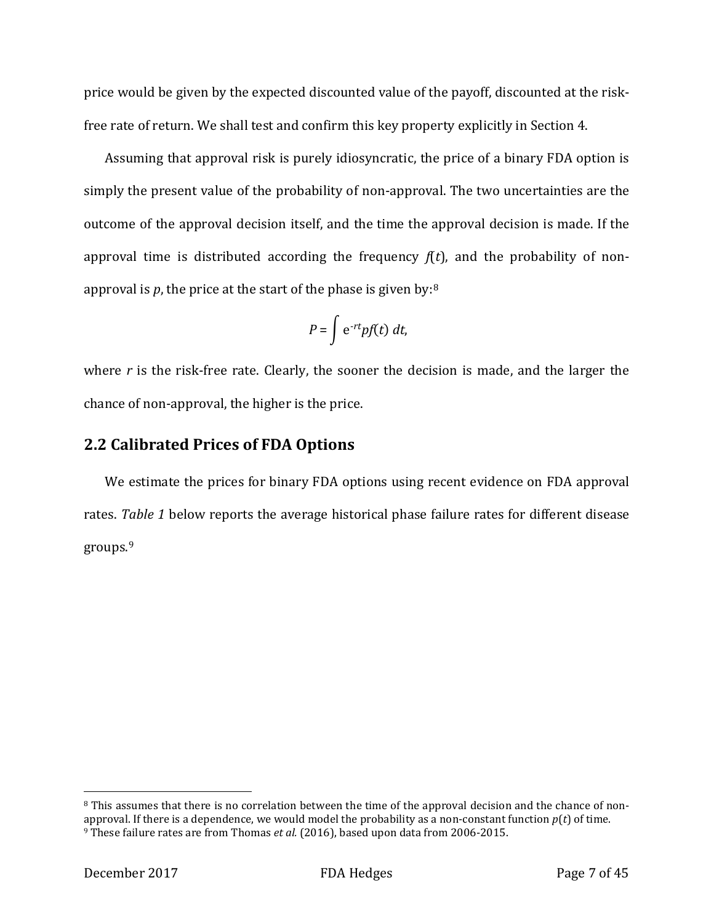price would be given by the expected discounted value of the payoff, discounted at the riskfree rate of return. We shall test and confirm this key property explicitly in Section 4.

Assuming that approval risk is purely idiosyncratic, the price of a binary FDA option is simply the present value of the probability of non-approval. The two uncertainties are the outcome of the approval decision itself, and the time the approval decision is made. If the approval time is distributed according the frequency  $f(t)$ , and the probability of nonapproval is *p*, the price at the start of the phase is given by:[8](#page-7-0)

$$
P = \int e^{-rt} p f(t) dt,
$$

where *r* is the risk-free rate. Clearly, the sooner the decision is made, and the larger the chance of non-approval, the higher is the price.

## **2.2 Calibrated Prices of FDA Options**

We estimate the prices for binary FDA options using recent evidence on FDA approval rates. *Table 1* below reports the average historical phase failure rates for different disease groups.[9](#page-7-1)

<span id="page-7-1"></span><span id="page-7-0"></span><sup>&</sup>lt;sup>8</sup> This assumes that there is no correlation between the time of the approval decision and the chance of nonapproval. If there is a dependence, we would model the probability as a non-constant function *p*(*t*) of time. <sup>9</sup> These failure rates are from Thomas *et al.* (2016), based upon data from 2006-2015.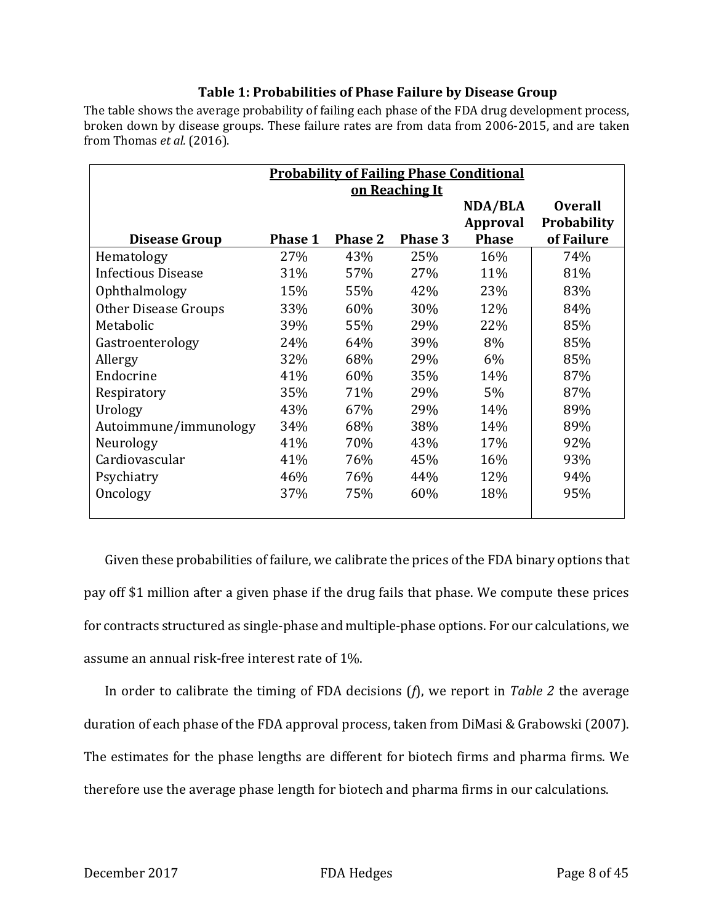### **Table 1: Probabilities of Phase Failure by Disease Group**

The table shows the average probability of failing each phase of the FDA drug development process, broken down by disease groups. These failure rates are from data from 2006-2015, and are taken from Thomas *et al.* (2016).

|                           | <b>Probability of Failing Phase Conditional</b> |                |                |              |                    |  |  |  |
|---------------------------|-------------------------------------------------|----------------|----------------|--------------|--------------------|--|--|--|
|                           |                                                 | on Reaching It |                |              |                    |  |  |  |
|                           |                                                 |                |                | NDA/BLA      | <b>Overall</b>     |  |  |  |
|                           |                                                 |                |                | Approval     | <b>Probability</b> |  |  |  |
| Disease Group             | <b>Phase 1</b>                                  | <b>Phase 2</b> | <b>Phase 3</b> | <b>Phase</b> | of Failure         |  |  |  |
| Hematology                | 27%                                             | 43%            | 25%            | 16%          | 74%                |  |  |  |
| <b>Infectious Disease</b> | 31%                                             | 57%            | 27%            | 11%          | 81%                |  |  |  |
| Ophthalmology             | 15%                                             | 55%            | 42%            | 23%          | 83%                |  |  |  |
| Other Disease Groups      | 33%                                             | 60%            | 30%            | 12%          | 84%                |  |  |  |
| Metabolic                 | 39%                                             | 55%            | 29%            | 22%          | 85%                |  |  |  |
| Gastroenterology          | 24%                                             | 64%            | 39%            | 8%           | 85%                |  |  |  |
| Allergy                   | 32%                                             | 68%            | 29%            | 6%           | 85%                |  |  |  |
| Endocrine                 | 41%                                             | 60%            | 35%            | 14%          | 87%                |  |  |  |
| Respiratory               | 35%                                             | 71%            | 29%            | 5%           | 87%                |  |  |  |
| Urology                   | 43%                                             | 67%            | 29%            | 14%          | 89%                |  |  |  |
| Autoimmune/immunology     | 34%                                             | 68%            | 38%            | 14%          | 89%                |  |  |  |
| Neurology                 | 41%                                             | 70%            | 43%            | 17%          | 92%                |  |  |  |
| Cardiovascular            | 41%                                             | 76%            | 45%            | 16%          | 93%                |  |  |  |
| Psychiatry                | 46%                                             | 76%            | 44%            | 12%          | 94%                |  |  |  |
| Oncology                  | 37%                                             | 75%            | 60%            | 18%          | 95%                |  |  |  |

Given these probabilities of failure, we calibrate the prices of the FDA binary options that pay off \$1 million after a given phase if the drug fails that phase. We compute these prices for contracts structured as single-phase and multiple-phase options. For our calculations, we assume an annual risk-free interest rate of 1%.

In order to calibrate the timing of FDA decisions (*f*), we report in *Table 2* the average duration of each phase of the FDA approval process, taken from DiMasi & Grabowski (2007). The estimates for the phase lengths are different for biotech firms and pharma firms. We therefore use the average phase length for biotech and pharma firms in our calculations.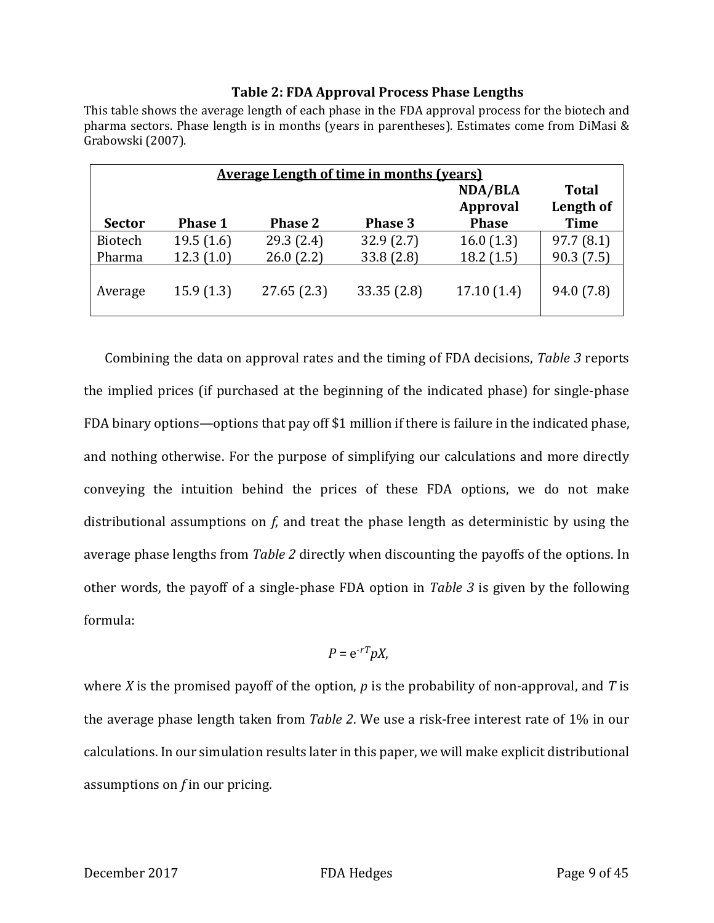#### **Table 2: FDA Approval Process Phase Lengths**

This table shows the average length of each phase in the FDA approval process for the biotech and pharma sectors. Phase length is in months (years in parentheses). Estimates come from DiMasi & Grabowski (2007).

|                                            | <b>Average Length of time in months (years)</b> |                |            |              |                          |  |  |  |  |  |  |
|--------------------------------------------|-------------------------------------------------|----------------|------------|--------------|--------------------------|--|--|--|--|--|--|
| <b>NDA/BLA</b><br>Total<br><b>Approval</b> |                                                 |                |            |              |                          |  |  |  |  |  |  |
| <b>Sector</b>                              | <b>Phase 1</b>                                  | <b>Phase 2</b> | Phase 3    | <b>Phase</b> | Length of<br><b>Time</b> |  |  |  |  |  |  |
| <b>Biotech</b>                             | 19.5(1.6)                                       | 29.3(2.4)      | 32.9(2.7)  | 16.0(1.3)    | 97.7(8.1)                |  |  |  |  |  |  |
| Pharma                                     | 12.3(1.0)                                       | 26.0(2.2)      | 33.8(2.8)  | 18.2(1.5)    | 90.3(7.5)                |  |  |  |  |  |  |
| Average                                    | 15.9(1.3)                                       | 27.65(2.3)     | 33.35(2.8) | 17.10(1.4)   | 94.0 (7.8)               |  |  |  |  |  |  |

Combining the data on approval rates and the timing of FDA decisions, *Table 3* reports the implied prices (if purchased at the beginning of the indicated phase) for single-phase FDA binary options—options that pay off \$1 million if there is failure in the indicated phase, and nothing otherwise. For the purpose of simplifying our calculations and more directly conveying the intuition behind the prices of these FDA options, we do not make distributional assumptions on *f*, and treat the phase length as deterministic by using the average phase lengths from *Table 2* directly when discounting the payoffs of the options. In other words, the payoff of a single-phase FDA option in *Table 3* is given by the following formula:

$$
P = e^{-rT} pX,
$$

where *X* is the promised payoff of the option, *p* is the probability of non-approval, and *T* is the average phase length taken from *Table 2*. We use a risk-free interest rate of 1% in our calculations. In our simulation results later in this paper, we will make explicit distributional assumptions on *f* in our pricing.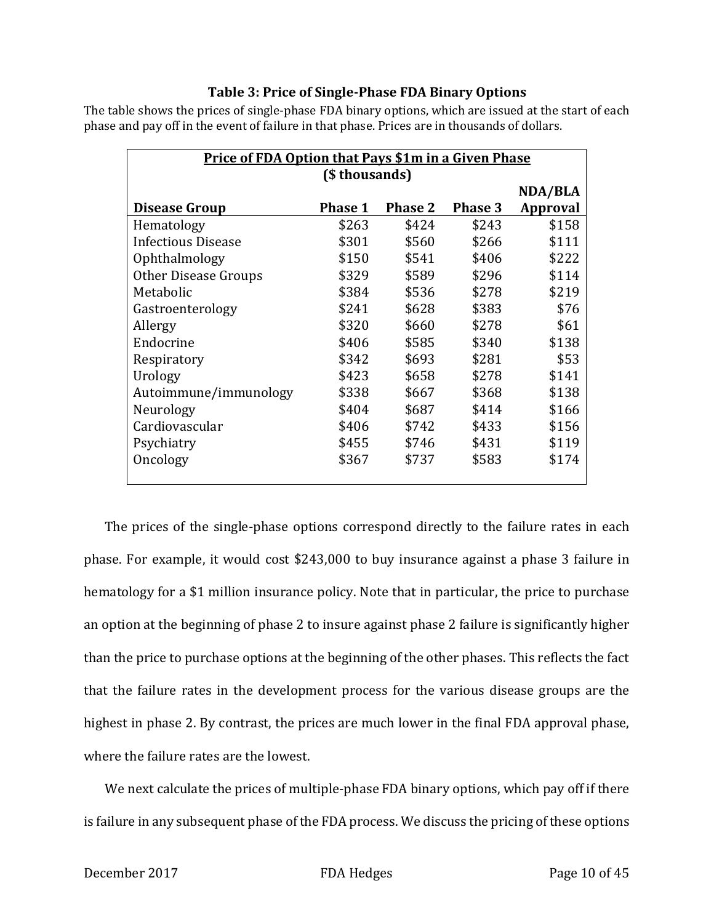#### **Table 3: Price of Single-Phase FDA Binary Options**

The table shows the prices of single-phase FDA binary options, which are issued at the start of each phase and pay off in the event of failure in that phase. Prices are in thousands of dollars.

| <b>Price of FDA Option that Pays \$1m in a Given Phase</b> |                |                |                |          |  |  |  |  |  |
|------------------------------------------------------------|----------------|----------------|----------------|----------|--|--|--|--|--|
| (\$thousands)                                              |                |                |                |          |  |  |  |  |  |
|                                                            |                |                |                | NDA/BLA  |  |  |  |  |  |
| <b>Disease Group</b>                                       | <b>Phase 1</b> | <b>Phase 2</b> | <b>Phase 3</b> | Approval |  |  |  |  |  |
| Hematology                                                 | \$263          | \$424          | \$243          | \$158    |  |  |  |  |  |
| <b>Infectious Disease</b>                                  | \$301          | \$560          | \$266          | \$111    |  |  |  |  |  |
| Ophthalmology                                              | \$150          | \$541          | \$406          | \$222    |  |  |  |  |  |
| Other Disease Groups                                       | \$329          | \$589          | \$296          | \$114    |  |  |  |  |  |
| Metabolic                                                  | \$384          | \$536          | \$278          | \$219    |  |  |  |  |  |
| Gastroenterology                                           | \$241          | \$628          | \$383          | \$76     |  |  |  |  |  |
| Allergy                                                    | \$320          | \$660          | \$278          | \$61     |  |  |  |  |  |
| Endocrine                                                  | \$406          | \$585          | \$340          | \$138    |  |  |  |  |  |
| Respiratory                                                | \$342          | \$693          | \$281          | \$53     |  |  |  |  |  |
| Urology                                                    | \$423          | \$658          | \$278          | \$141    |  |  |  |  |  |
| Autoimmune/immunology                                      | \$338          | \$667          | \$368          | \$138    |  |  |  |  |  |
| Neurology                                                  | \$404          | \$687          | \$414          | \$166    |  |  |  |  |  |
| Cardiovascular                                             | \$406          | \$742          | \$433          | \$156    |  |  |  |  |  |
| Psychiatry                                                 | \$455          | \$746          | \$431          | \$119    |  |  |  |  |  |
| Oncology                                                   | \$367          | \$737          | \$583          | \$174    |  |  |  |  |  |
|                                                            |                |                |                |          |  |  |  |  |  |

The prices of the single-phase options correspond directly to the failure rates in each phase. For example, it would cost \$243,000 to buy insurance against a phase 3 failure in hematology for a \$1 million insurance policy. Note that in particular, the price to purchase an option at the beginning of phase 2 to insure against phase 2 failure is significantly higher than the price to purchase options at the beginning of the other phases. This reflects the fact that the failure rates in the development process for the various disease groups are the highest in phase 2. By contrast, the prices are much lower in the final FDA approval phase, where the failure rates are the lowest.

We next calculate the prices of multiple-phase FDA binary options, which pay off if there is failure in any subsequent phase of the FDA process. We discuss the pricing of these options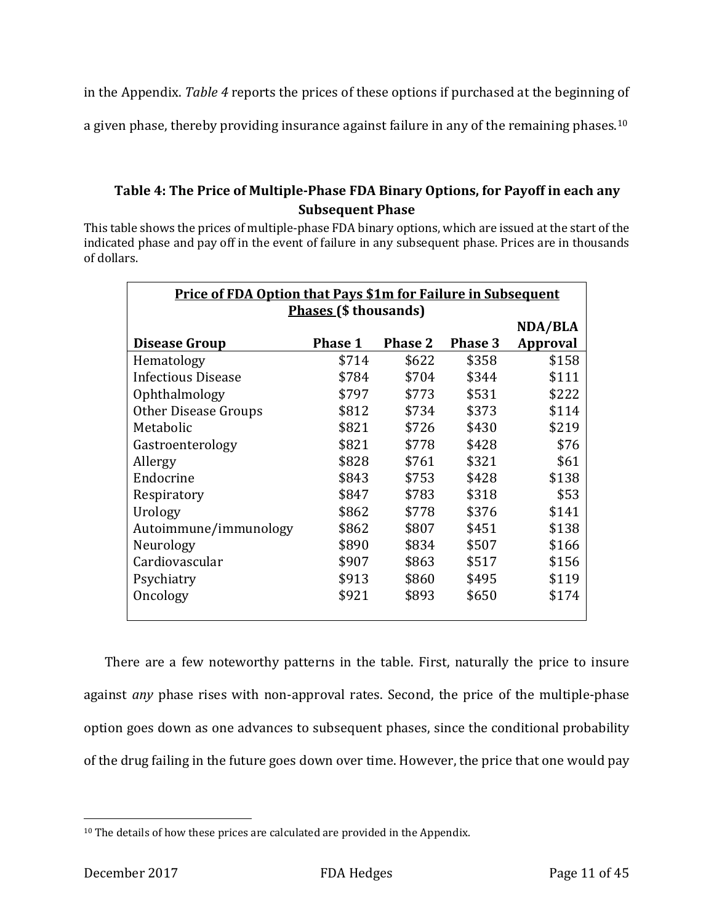in the Appendix. *Table 4* reports the prices of these options if purchased at the beginning of

a given phase, thereby providing insurance against failure in any of the remaining phases.<sup>[10](#page-11-0)</sup>

### **Table 4: The Price of Multiple-Phase FDA Binary Options, for Payoff in each any Subsequent Phase**

This table shows the prices of multiple-phase FDA binary options, which are issued at the start of the indicated phase and pay off in the event of failure in any subsequent phase. Prices are in thousands of dollars.

| <b>Price of FDA Option that Pays \$1m for Failure in Subsequent</b> |                |                |                |          |  |  |  |  |  |
|---------------------------------------------------------------------|----------------|----------------|----------------|----------|--|--|--|--|--|
| <b>Phases (\$ thousands)</b>                                        |                |                |                |          |  |  |  |  |  |
|                                                                     |                |                |                | NDA/BLA  |  |  |  |  |  |
| <b>Disease Group</b>                                                | <b>Phase 1</b> | <b>Phase 2</b> | <b>Phase 3</b> | Approval |  |  |  |  |  |
| Hematology                                                          | \$714          | \$622          | \$358          | \$158    |  |  |  |  |  |
| <b>Infectious Disease</b>                                           | \$784          | \$704          | \$344          | \$111    |  |  |  |  |  |
| Ophthalmology                                                       | \$797          | \$773          | \$531          | \$222    |  |  |  |  |  |
| Other Disease Groups                                                | \$812          | \$734          | \$373          | \$114    |  |  |  |  |  |
| Metabolic                                                           | \$821          | \$726          | \$430          | \$219    |  |  |  |  |  |
| Gastroenterology                                                    | \$821          | \$778          | \$428          | \$76     |  |  |  |  |  |
| Allergy                                                             | \$828          | \$761          | \$321          | \$61     |  |  |  |  |  |
| Endocrine                                                           | \$843          | \$753          | \$428          | \$138    |  |  |  |  |  |
| Respiratory                                                         | \$847          | \$783          | \$318          | \$53     |  |  |  |  |  |
| Urology                                                             | \$862          | \$778          | \$376          | \$141    |  |  |  |  |  |
| Autoimmune/immunology                                               | \$862          | \$807          | \$451          | \$138    |  |  |  |  |  |
| Neurology                                                           | \$890          | \$834          | \$507          | \$166    |  |  |  |  |  |
| Cardiovascular                                                      | \$907          | \$863          | \$517          | \$156    |  |  |  |  |  |
| Psychiatry                                                          | \$913          | \$860          | \$495          | \$119    |  |  |  |  |  |
| Oncology                                                            | \$921          | \$893          | \$650          | \$174    |  |  |  |  |  |
|                                                                     |                |                |                |          |  |  |  |  |  |

There are a few noteworthy patterns in the table. First, naturally the price to insure against *any* phase rises with non-approval rates. Second, the price of the multiple-phase option goes down as one advances to subsequent phases, since the conditional probability of the drug failing in the future goes down over time. However, the price that one would pay

<span id="page-11-0"></span><sup>&</sup>lt;sup>10</sup> The details of how these prices are calculated are provided in the Appendix.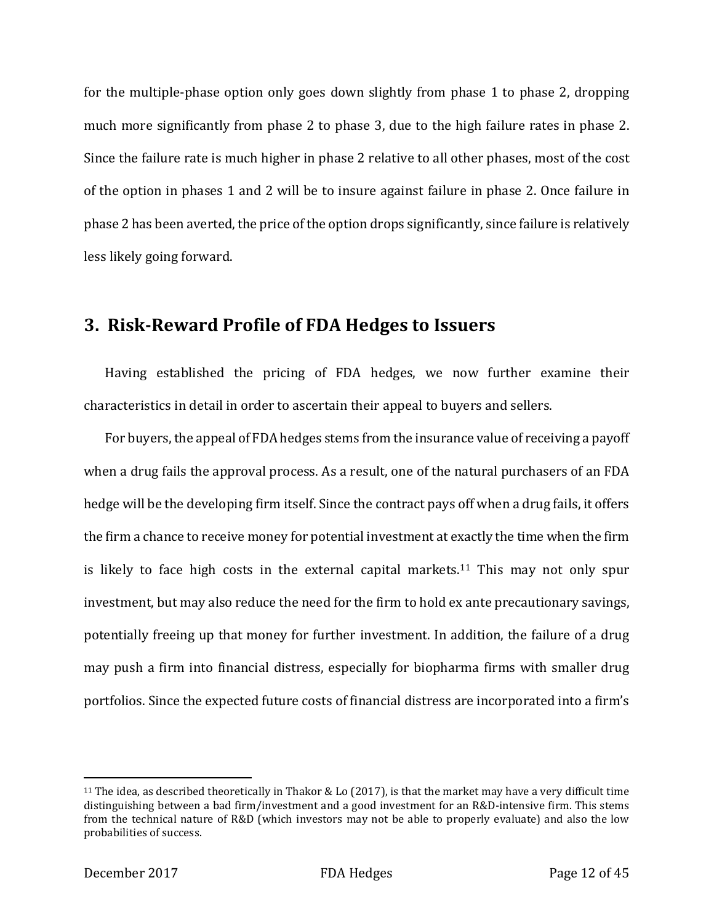for the multiple-phase option only goes down slightly from phase 1 to phase 2, dropping much more significantly from phase 2 to phase 3, due to the high failure rates in phase 2. Since the failure rate is much higher in phase 2 relative to all other phases, most of the cost of the option in phases 1 and 2 will be to insure against failure in phase 2. Once failure in phase 2 has been averted, the price of the option drops significantly, since failure is relatively less likely going forward.

# **3. Risk-Reward Profile of FDA Hedges to Issuers**

Having established the pricing of FDA hedges, we now further examine their characteristics in detail in order to ascertain their appeal to buyers and sellers.

For buyers, the appeal of FDA hedges stems from the insurance value of receiving a payoff when a drug fails the approval process. As a result, one of the natural purchasers of an FDA hedge will be the developing firm itself. Since the contract pays off when a drug fails, it offers the firm a chance to receive money for potential investment at exactly the time when the firm is likely to face high costs in the external capital markets. [11](#page-12-0) This may not only spur investment, but may also reduce the need for the firm to hold ex ante precautionary savings, potentially freeing up that money for further investment. In addition, the failure of a drug may push a firm into financial distress, especially for biopharma firms with smaller drug portfolios. Since the expected future costs of financial distress are incorporated into a firm's

<span id="page-12-0"></span><sup>11</sup> The idea, as described theoretically in Thakor & Lo (2017), is that the market may have a very difficult time distinguishing between a bad firm/investment and a good investment for an R&D-intensive firm. This stems from the technical nature of R&D (which investors may not be able to properly evaluate) and also the low probabilities of success.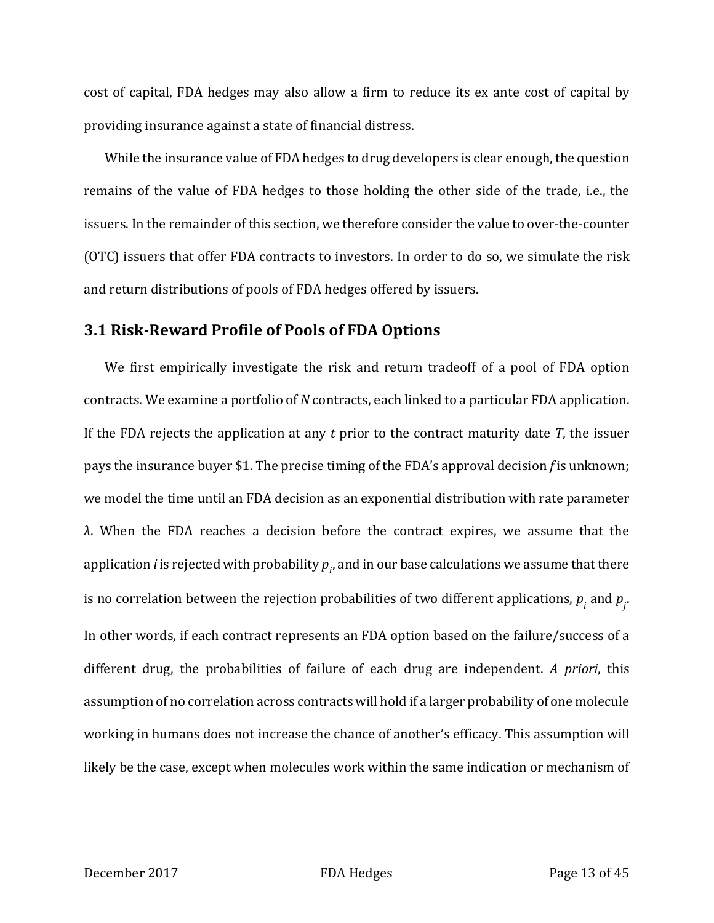cost of capital, FDA hedges may also allow a firm to reduce its ex ante cost of capital by providing insurance against a state of financial distress.

While the insurance value of FDA hedges to drug developers is clear enough, the question remains of the value of FDA hedges to those holding the other side of the trade, i.e., the issuers. In the remainder of this section, we therefore consider the value to over-the-counter (OTC) issuers that offer FDA contracts to investors. In order to do so, we simulate the risk and return distributions of pools of FDA hedges offered by issuers.

### **3.1 Risk-Reward Profile of Pools of FDA Options**

We first empirically investigate the risk and return tradeoff of a pool of FDA option contracts. We examine a portfolio of *N* contracts, each linked to a particular FDA application. If the FDA rejects the application at any *t* prior to the contract maturity date *T*, the issuer pays the insurance buyer \$1. The precise timing of the FDA's approval decision *f* is unknown; we model the time until an FDA decision as an exponential distribution with rate parameter *λ*. When the FDA reaches a decision before the contract expires, we assume that the application  $i$  is rejected with probability  $p_{_{I'}}$  and in our base calculations we assume that there is no correlation between the rejection probabilities of two different applications,  $p_{i}$  and  $p_{j}$ . In other words, if each contract represents an FDA option based on the failure/success of a different drug, the probabilities of failure of each drug are independent. *A priori*, this assumption of no correlation across contracts will hold if a larger probability of one molecule working in humans does not increase the chance of another's efficacy. This assumption will likely be the case, except when molecules work within the same indication or mechanism of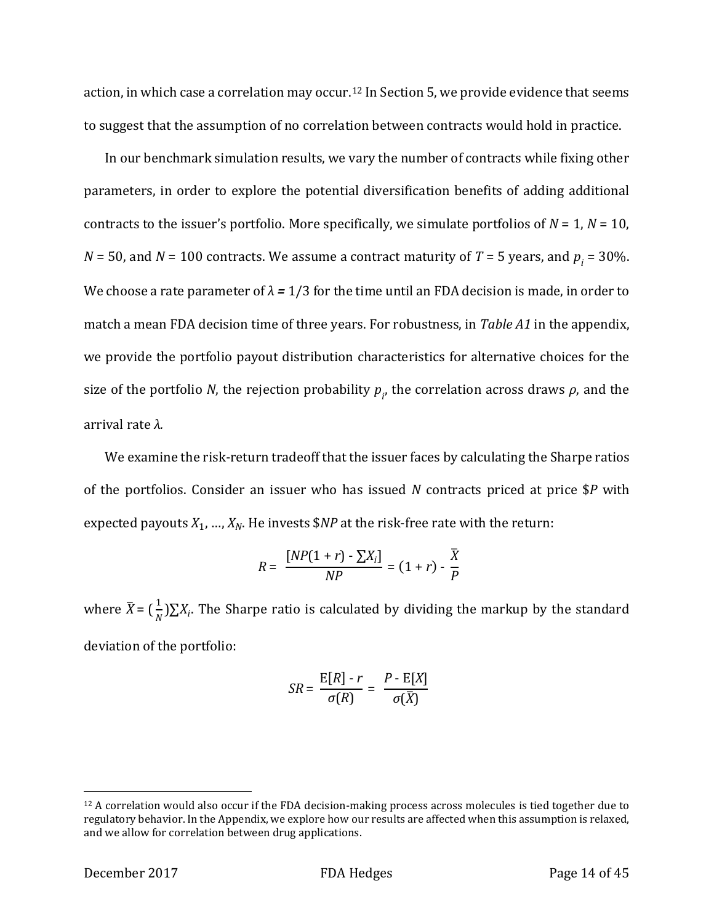action, in which case a correlation may occur.<sup>[12](#page-14-0)</sup> In Section 5, we provide evidence that seems to suggest that the assumption of no correlation between contracts would hold in practice.

In our benchmark simulation results, we vary the number of contracts while fixing other parameters, in order to explore the potential diversification benefits of adding additional contracts to the issuer's portfolio. More specifically, we simulate portfolios of  $N = 1$ ,  $N = 10$ ,  $N = 50$ , and  $N = 100$  contracts. We assume a contract maturity of  $T = 5$  years, and  $p_i = 30$ %. We choose a rate parameter of  $\lambda = 1/3$  for the time until an FDA decision is made, in order to match a mean FDA decision time of three years. For robustness, in *Table A1* in the appendix, we provide the portfolio payout distribution characteristics for alternative choices for the size of the portfolio *N*, the rejection probability  $p_{i'}$ , the correlation across draws  $\rho$ , and the arrival rate *λ.*

We examine the risk-return tradeoff that the issuer faces by calculating the Sharpe ratios of the portfolios. Consider an issuer who has issued *N* contracts priced at price \$*P* with expected payouts  $X_1$ , ...,  $X_N$ . He invests  $N\mathbb{P}$  at the risk-free rate with the return:

$$
R = \frac{[NP(1+r) - \sum X_i]}{NP} = (1+r) - \frac{\overline{X}}{P}
$$

where  $\bar{X} = (\frac{1}{N})\sum X_i$ . The Sharpe ratio is calculated by dividing the markup by the standard deviation of the portfolio:

$$
SR = \frac{E[R] - r}{\sigma(R)} = \frac{P - E[X]}{\sigma(\overline{X})}
$$

<span id="page-14-0"></span><sup>12</sup> A correlation would also occur if the FDA decision-making process across molecules is tied together due to regulatory behavior. In the Appendix, we explore how our results are affected when this assumption is relaxed, and we allow for correlation between drug applications.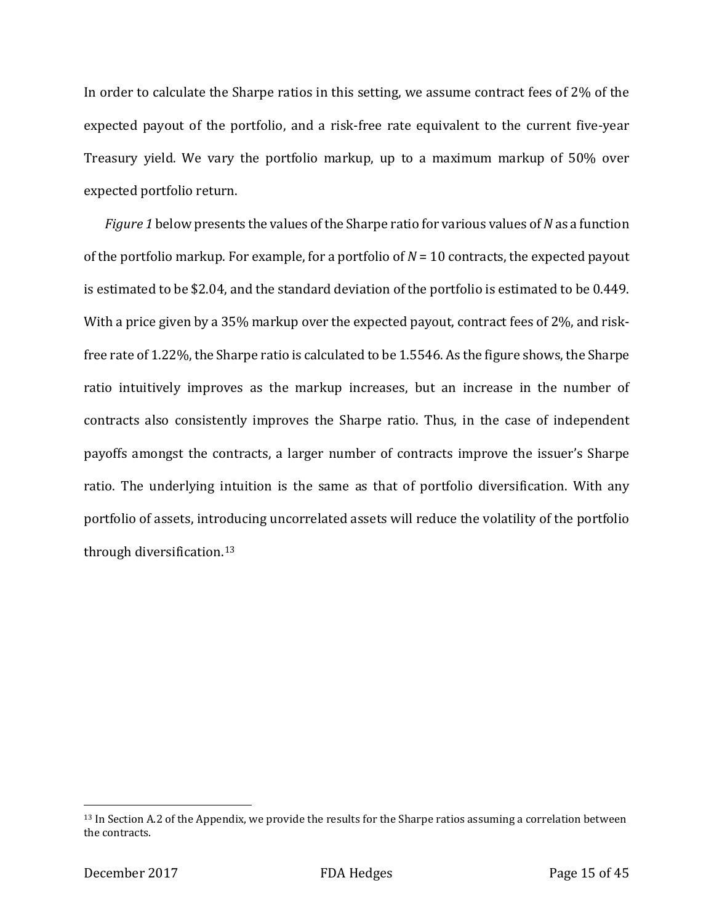In order to calculate the Sharpe ratios in this setting, we assume contract fees of 2% of the expected payout of the portfolio, and a risk-free rate equivalent to the current five-year Treasury yield. We vary the portfolio markup, up to a maximum markup of 50% over expected portfolio return.

*Figure 1* below presents the values of the Sharpe ratio for various values of *N* as a function of the portfolio markup. For example, for a portfolio of *N* = 10 contracts, the expected payout is estimated to be \$2.04, and the standard deviation of the portfolio is estimated to be 0.449. With a price given by a 35% markup over the expected payout, contract fees of 2%, and riskfree rate of 1.22%, the Sharpe ratio is calculated to be 1.5546. As the figure shows, the Sharpe ratio intuitively improves as the markup increases, but an increase in the number of contracts also consistently improves the Sharpe ratio. Thus, in the case of independent payoffs amongst the contracts, a larger number of contracts improve the issuer's Sharpe ratio. The underlying intuition is the same as that of portfolio diversification. With any portfolio of assets, introducing uncorrelated assets will reduce the volatility of the portfolio through diversification.[13](#page-15-0)

<span id="page-15-0"></span> $13$  In Section A.2 of the Appendix, we provide the results for the Sharpe ratios assuming a correlation between the contracts.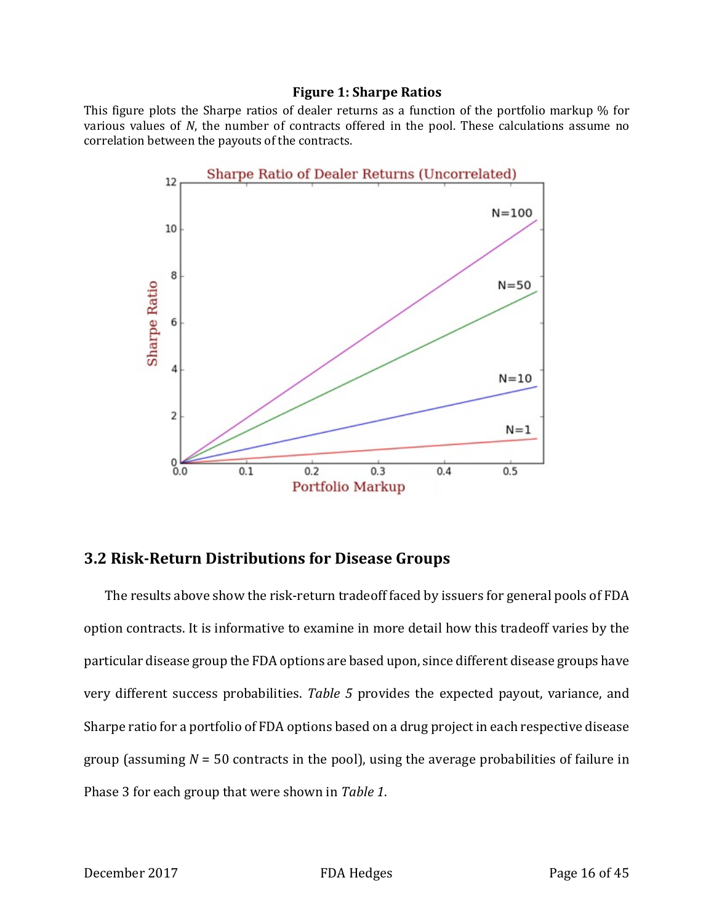#### **Figure 1: Sharpe Ratios**

This figure plots the Sharpe ratios of dealer returns as a function of the portfolio markup % for various values of *N*, the number of contracts offered in the pool. These calculations assume no correlation between the payouts of the contracts.



### **3.2 Risk-Return Distributions for Disease Groups**

The results above show the risk-return tradeoff faced by issuers for general pools of FDA option contracts. It is informative to examine in more detail how this tradeoff varies by the particular disease group the FDA options are based upon, since different disease groups have very different success probabilities. *Table 5* provides the expected payout, variance, and Sharpe ratio for a portfolio of FDA options based on a drug project in each respective disease group (assuming *N* = 50 contracts in the pool), using the average probabilities of failure in Phase 3 for each group that were shown in *Table 1*.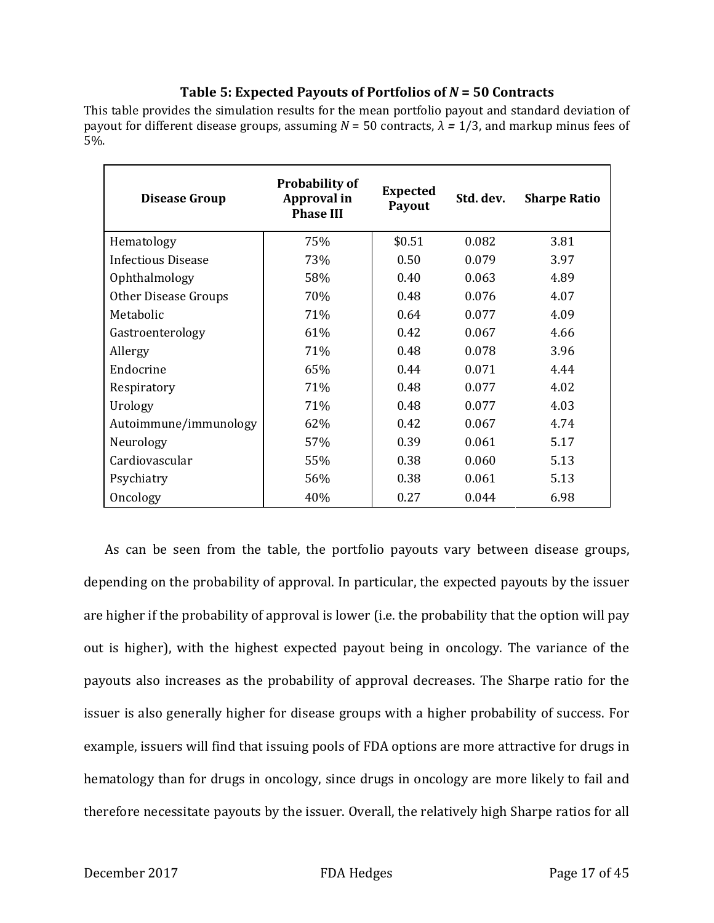### **Table 5: Expected Payouts of Portfolios of** *N* **= 50 Contracts**

This table provides the simulation results for the mean portfolio payout and standard deviation of payout for different disease groups, assuming *N* = 50 contracts, *λ =* 1/3, and markup minus fees of 5%.

| <b>Disease Group</b>  | <b>Probability of</b><br>Approval in<br><b>Phase III</b> | <b>Expected</b><br>Payout | Std. dev. | <b>Sharpe Ratio</b> |
|-----------------------|----------------------------------------------------------|---------------------------|-----------|---------------------|
| Hematology            | 75%                                                      | \$0.51                    | 0.082     | 3.81                |
| Infectious Disease    | 73%                                                      | 0.50                      | 0.079     | 3.97                |
| Ophthalmology         | 58%                                                      | 0.40                      | 0.063     | 4.89                |
| Other Disease Groups  | 70%                                                      | 0.48                      | 0.076     | 4.07                |
| Metabolic             | 71%                                                      | 0.64                      | 0.077     | 4.09                |
| Gastroenterology      | 61%                                                      | 0.42                      | 0.067     | 4.66                |
| Allergy               | 71%                                                      | 0.48                      | 0.078     | 3.96                |
| Endocrine             | 65%                                                      | 0.44                      | 0.071     | 4.44                |
| Respiratory           | 71%                                                      | 0.48                      | 0.077     | 4.02                |
| Urology               | 71%                                                      | 0.48                      | 0.077     | 4.03                |
| Autoimmune/immunology | 62%                                                      | 0.42                      | 0.067     | 4.74                |
| Neurology             | 57%                                                      | 0.39                      | 0.061     | 5.17                |
| Cardiovascular        | 55%                                                      | 0.38                      | 0.060     | 5.13                |
| Psychiatry            | 56%                                                      | 0.38                      | 0.061     | 5.13                |
| Oncology              | 40%                                                      | 0.27                      | 0.044     | 6.98                |

As can be seen from the table, the portfolio payouts vary between disease groups, depending on the probability of approval. In particular, the expected payouts by the issuer are higher if the probability of approval is lower (i.e. the probability that the option will pay out is higher), with the highest expected payout being in oncology. The variance of the payouts also increases as the probability of approval decreases. The Sharpe ratio for the issuer is also generally higher for disease groups with a higher probability of success. For example, issuers will find that issuing pools of FDA options are more attractive for drugs in hematology than for drugs in oncology, since drugs in oncology are more likely to fail and therefore necessitate payouts by the issuer. Overall, the relatively high Sharpe ratios for all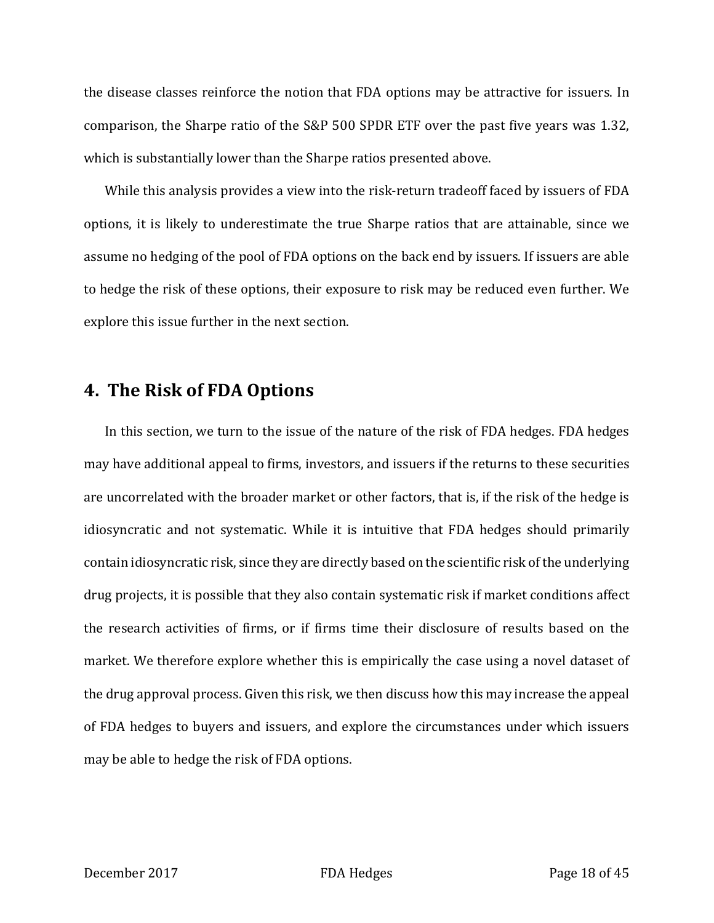the disease classes reinforce the notion that FDA options may be attractive for issuers. In comparison, the Sharpe ratio of the S&P 500 SPDR ETF over the past five years was 1.32, which is substantially lower than the Sharpe ratios presented above.

While this analysis provides a view into the risk-return tradeoff faced by issuers of FDA options, it is likely to underestimate the true Sharpe ratios that are attainable, since we assume no hedging of the pool of FDA options on the back end by issuers. If issuers are able to hedge the risk of these options, their exposure to risk may be reduced even further. We explore this issue further in the next section.

# **4. The Risk of FDA Options**

In this section, we turn to the issue of the nature of the risk of FDA hedges. FDA hedges may have additional appeal to firms, investors, and issuers if the returns to these securities are uncorrelated with the broader market or other factors, that is, if the risk of the hedge is idiosyncratic and not systematic. While it is intuitive that FDA hedges should primarily contain idiosyncratic risk, since they are directly based on the scientific risk of the underlying drug projects, it is possible that they also contain systematic risk if market conditions affect the research activities of firms, or if firms time their disclosure of results based on the market. We therefore explore whether this is empirically the case using a novel dataset of the drug approval process. Given this risk, we then discuss how this may increase the appeal of FDA hedges to buyers and issuers, and explore the circumstances under which issuers may be able to hedge the risk of FDA options.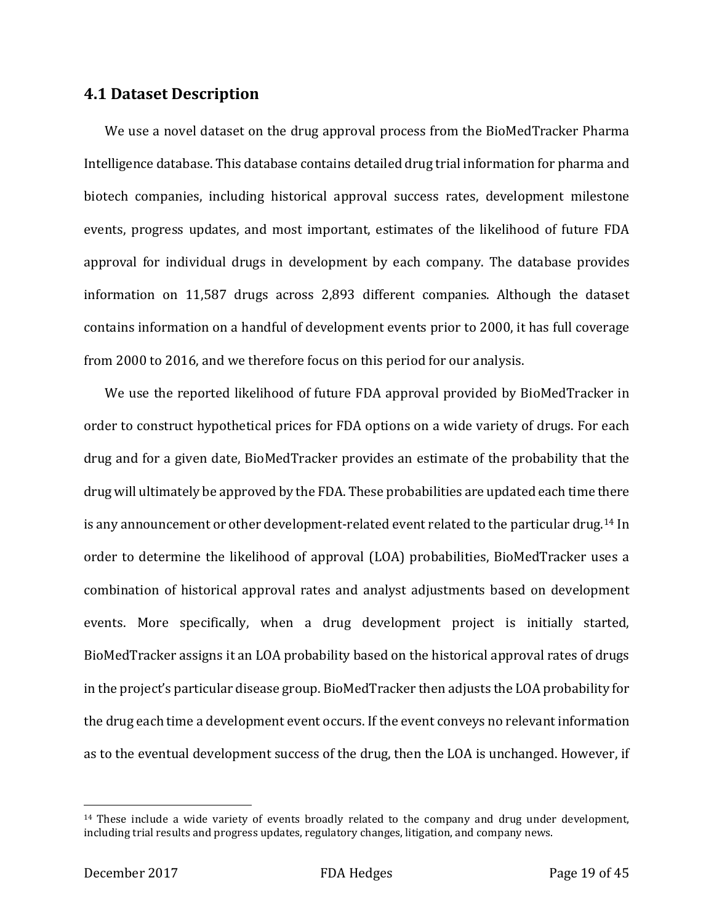### **4.1 Dataset Description**

We use a novel dataset on the drug approval process from the BioMedTracker Pharma Intelligence database. This database contains detailed drug trial information for pharma and biotech companies, including historical approval success rates, development milestone events, progress updates, and most important, estimates of the likelihood of future FDA approval for individual drugs in development by each company. The database provides information on 11,587 drugs across 2,893 different companies. Although the dataset contains information on a handful of development events prior to 2000, it has full coverage from 2000 to 2016, and we therefore focus on this period for our analysis.

We use the reported likelihood of future FDA approval provided by BioMedTracker in order to construct hypothetical prices for FDA options on a wide variety of drugs. For each drug and for a given date, BioMedTracker provides an estimate of the probability that the drug will ultimately be approved by the FDA. These probabilities are updated each time there is any announcement or other development-related event related to the particular drug.[14](#page-19-0) In order to determine the likelihood of approval (LOA) probabilities, BioMedTracker uses a combination of historical approval rates and analyst adjustments based on development events. More specifically, when a drug development project is initially started, BioMedTracker assigns it an LOA probability based on the historical approval rates of drugs in the project's particular disease group. BioMedTracker then adjusts the LOA probability for the drug each time a development event occurs. If the event conveys no relevant information as to the eventual development success of the drug, then the LOA is unchanged. However, if

<span id="page-19-0"></span> $14$  These include a wide variety of events broadly related to the company and drug under development, including trial results and progress updates, regulatory changes, litigation, and company news.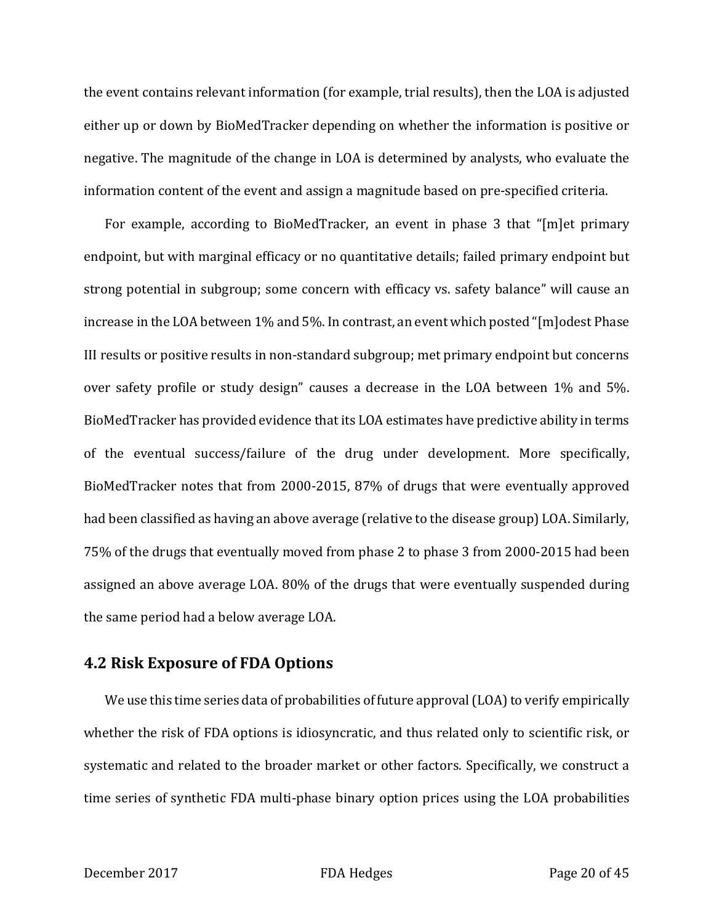the event contains relevant information (for example, trial results), then the LOA is adjusted either up or down by BioMedTracker depending on whether the information is positive or negative. The magnitude of the change in LOA is determined by analysts, who evaluate the information content of the event and assign a magnitude based on pre-specified criteria.

For example, according to BioMedTracker, an event in phase 3 that "[m]et primary endpoint, but with marginal efficacy or no quantitative details; failed primary endpoint but strong potential in subgroup; some concern with efficacy vs. safety balance" will cause an increase in the LOA between 1% and 5%. In contrast, an event which posted "[m]odest Phase III results or positive results in non-standard subgroup; met primary endpoint but concerns over safety profile or study design" causes a decrease in the LOA between 1% and 5%. BioMedTracker has provided evidence that its LOA estimates have predictive ability in terms of the eventual success/failure of the drug under development. More specifically, BioMedTracker notes that from 2000-2015, 87% of drugs that were eventually approved had been classified as having an above average (relative to the disease group) LOA. Similarly, 75% of the drugs that eventually moved from phase 2 to phase 3 from 2000-2015 had been assigned an above average LOA. 80% of the drugs that were eventually suspended during the same period had a below average LOA.

# **4.2 Risk Exposure of FDA Options**

We use this time series data of probabilities of future approval (LOA) to verify empirically whether the risk of FDA options is idiosyncratic, and thus related only to scientific risk, or systematic and related to the broader market or other factors. Specifically, we construct a time series of synthetic FDA multi-phase binary option prices using the LOA probabilities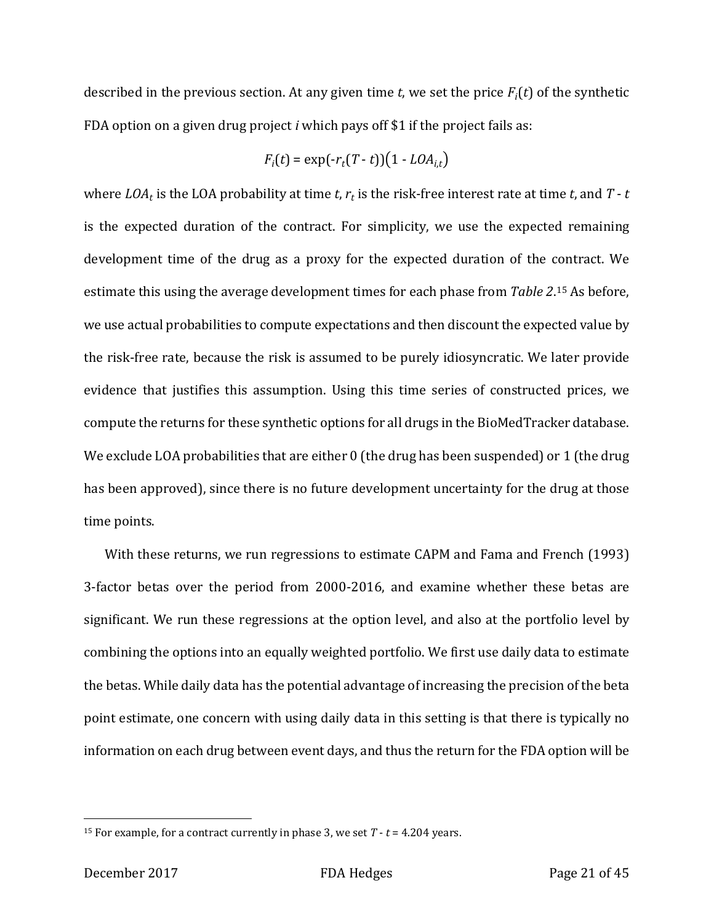described in the previous section. At any given time *t*, we set the price  $F_i(t)$  of the synthetic FDA option on a given drug project *i* which pays off \$1 if the project fails as:

$$
F_i(t) = \exp(-r_t(T-t))(1 - LOA_{i,t})
$$

where  $LOA_t$  is the LOA probability at time *t*,  $r_t$  is the risk-free interest rate at time *t*, and  $T - t$ is the expected duration of the contract. For simplicity, we use the expected remaining development time of the drug as a proxy for the expected duration of the contract. We estimate this using the average development times for each phase from *Table 2*.[15](#page-21-0) As before, we use actual probabilities to compute expectations and then discount the expected value by the risk-free rate, because the risk is assumed to be purely idiosyncratic. We later provide evidence that justifies this assumption. Using this time series of constructed prices, we compute the returns for these synthetic options for all drugs in the BioMedTracker database. We exclude LOA probabilities that are either 0 (the drug has been suspended) or 1 (the drug has been approved), since there is no future development uncertainty for the drug at those time points.

With these returns, we run regressions to estimate CAPM and Fama and French (1993) 3-factor betas over the period from 2000-2016, and examine whether these betas are significant. We run these regressions at the option level, and also at the portfolio level by combining the options into an equally weighted portfolio. We first use daily data to estimate the betas. While daily data has the potential advantage of increasing the precision of the beta point estimate, one concern with using daily data in this setting is that there is typically no information on each drug between event days, and thus the return for the FDA option will be

<span id="page-21-0"></span><sup>&</sup>lt;sup>15</sup> For example, for a contract currently in phase 3, we set  $T - t = 4.204$  years.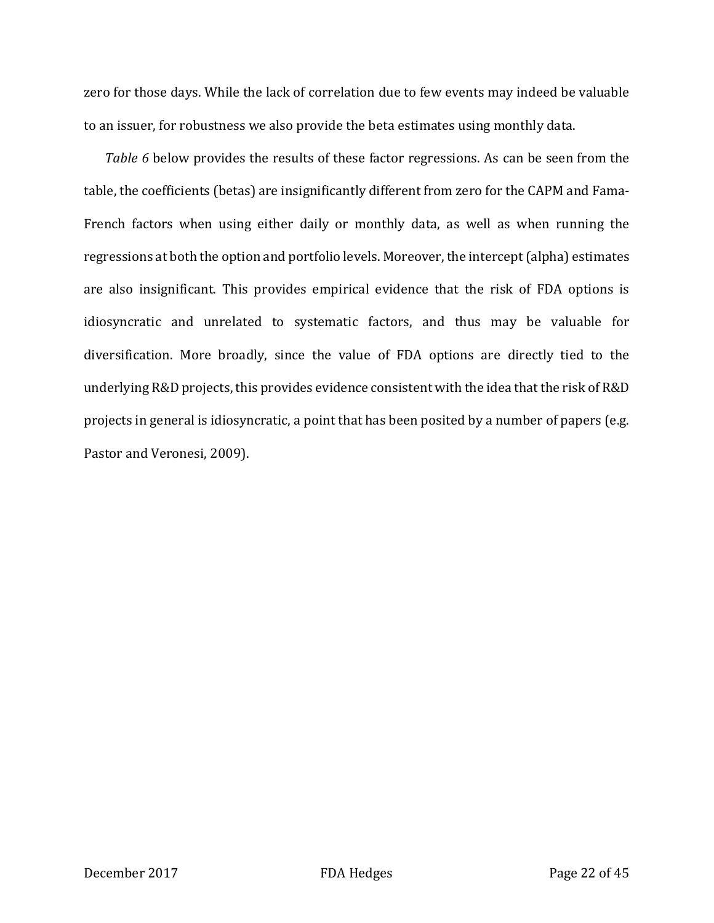zero for those days. While the lack of correlation due to few events may indeed be valuable to an issuer, for robustness we also provide the beta estimates using monthly data.

*Table 6* below provides the results of these factor regressions. As can be seen from the table, the coefficients (betas) are insignificantly different from zero for the CAPM and Fama-French factors when using either daily or monthly data, as well as when running the regressions at both the option and portfolio levels. Moreover, the intercept (alpha) estimates are also insignificant. This provides empirical evidence that the risk of FDA options is idiosyncratic and unrelated to systematic factors, and thus may be valuable for diversification. More broadly, since the value of FDA options are directly tied to the underlying R&D projects, this provides evidence consistent with the idea that the risk of R&D projects in general is idiosyncratic, a point that has been posited by a number of papers (e.g. Pastor and Veronesi, 2009).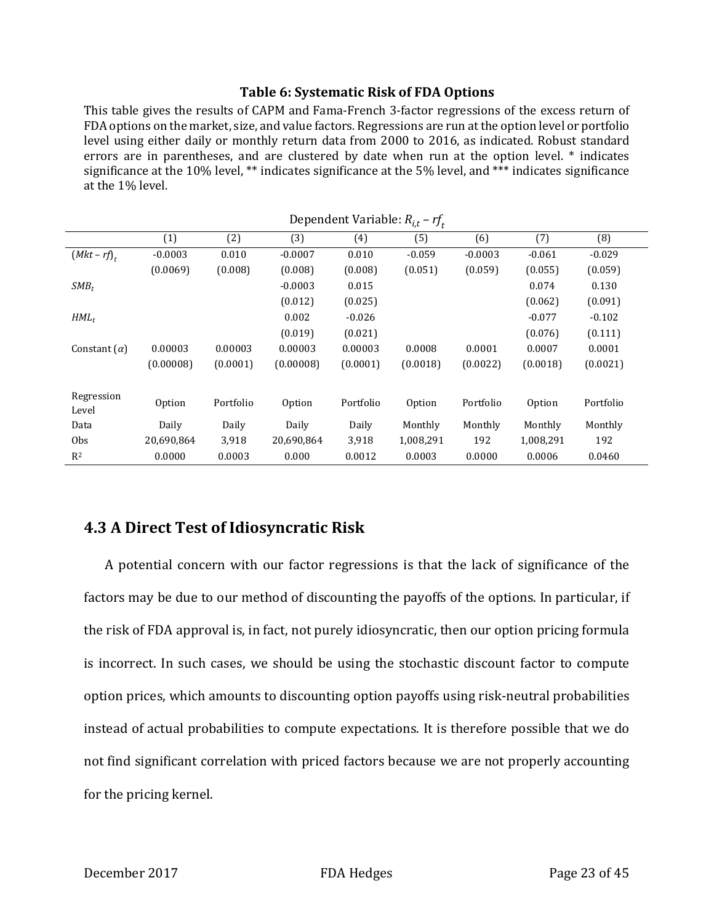#### **Table 6: Systematic Risk of FDA Options**

This table gives the results of CAPM and Fama-French 3-factor regressions of the excess return of FDA options on the market, size, and value factors. Regressions are run at the option level or portfolio level using either daily or monthly return data from 2000 to 2016, as indicated. Robust standard errors are in parentheses, and are clustered by date when run at the option level. \* indicates significance at the 10% level, \*\* indicates significance at the 5% level, and \*\*\* indicates significance at the 1% level.

|                     |            |           |            | $D$ Cpchacht variable. $n_{l,t}$ | '         |           |           |           |
|---------------------|------------|-----------|------------|----------------------------------|-----------|-----------|-----------|-----------|
|                     | (1)        | (2)       | (3)        | (4)                              | (5)       | (6)       | (7)       | (8)       |
| $(Mkt-rf)_{r}$      | $-0.0003$  | 0.010     | $-0.0007$  | 0.010                            | $-0.059$  | $-0.0003$ | $-0.061$  | $-0.029$  |
|                     | (0.0069)   | (0.008)   | (0.008)    | (0.008)                          | (0.051)   | (0.059)   | (0.055)   | (0.059)   |
| $SMB_t$             |            |           | $-0.0003$  | 0.015                            |           |           | 0.074     | 0.130     |
|                     |            |           | (0.012)    | (0.025)                          |           |           | (0.062)   | (0.091)   |
| $HML_t$             |            |           | 0.002      | $-0.026$                         |           |           | $-0.077$  | $-0.102$  |
|                     |            |           | (0.019)    | (0.021)                          |           |           | (0.076)   | (0.111)   |
| Constant $(\alpha)$ | 0.00003    | 0.00003   | 0.00003    | 0.00003                          | 0.0008    | 0.0001    | 0.0007    | 0.0001    |
|                     | (0.00008)  | (0.0001)  | (0.00008)  | (0.0001)                         | (0.0018)  | (0.0022)  | (0.0018)  | (0.0021)  |
|                     |            |           |            |                                  |           |           |           |           |
| Regression<br>Level | Option     | Portfolio | Option     | Portfolio                        | Option    | Portfolio | Option    | Portfolio |
| Data                | Daily      | Daily     | Daily      | Daily                            | Monthly   | Monthly   | Monthly   | Monthly   |
| <b>Obs</b>          | 20,690,864 | 3,918     | 20,690,864 | 3,918                            | 1,008,291 | 192       | 1,008,291 | 192       |
| R <sup>2</sup>      | 0.0000     | 0.0003    | 0.000      | 0.0012                           | 0.0003    | 0.0000    | 0.0006    | 0.0460    |

Dependent Variable: *Ri*,*<sup>t</sup>* – *rft*

# **4.3 A Direct Test of Idiosyncratic Risk**

A potential concern with our factor regressions is that the lack of significance of the factors may be due to our method of discounting the payoffs of the options. In particular, if the risk of FDA approval is, in fact, not purely idiosyncratic, then our option pricing formula is incorrect. In such cases, we should be using the stochastic discount factor to compute option prices, which amounts to discounting option payoffs using risk-neutral probabilities instead of actual probabilities to compute expectations. It is therefore possible that we do not find significant correlation with priced factors because we are not properly accounting for the pricing kernel.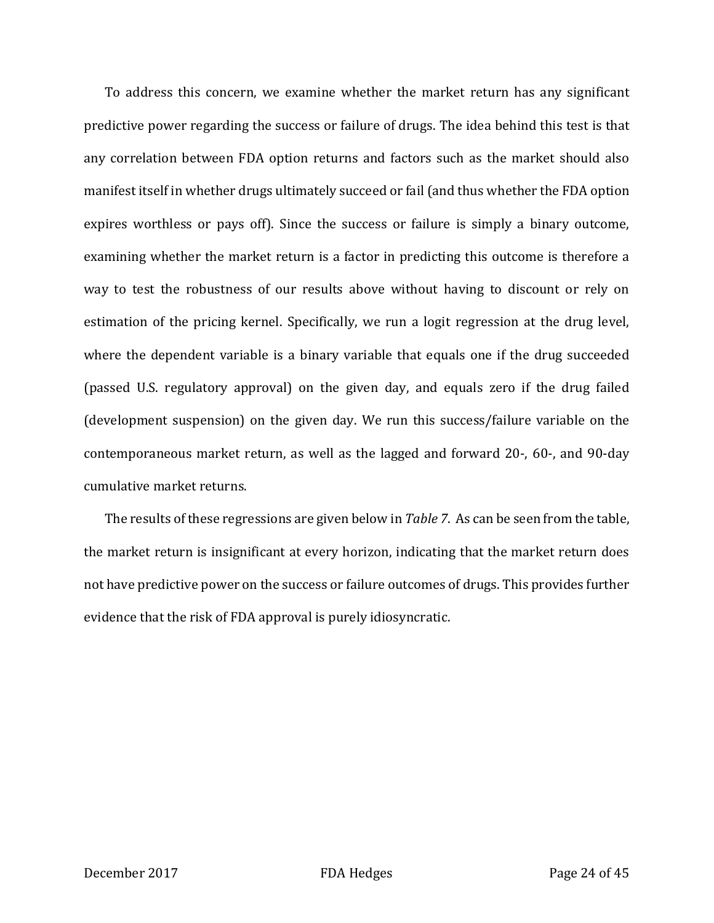To address this concern, we examine whether the market return has any significant predictive power regarding the success or failure of drugs. The idea behind this test is that any correlation between FDA option returns and factors such as the market should also manifest itself in whether drugs ultimately succeed or fail (and thus whether the FDA option expires worthless or pays off). Since the success or failure is simply a binary outcome, examining whether the market return is a factor in predicting this outcome is therefore a way to test the robustness of our results above without having to discount or rely on estimation of the pricing kernel. Specifically, we run a logit regression at the drug level, where the dependent variable is a binary variable that equals one if the drug succeeded (passed U.S. regulatory approval) on the given day, and equals zero if the drug failed (development suspension) on the given day. We run this success/failure variable on the contemporaneous market return, as well as the lagged and forward 20-, 60-, and 90-day cumulative market returns.

The results of these regressions are given below in *Table 7*. As can be seen from the table, the market return is insignificant at every horizon, indicating that the market return does not have predictive power on the success or failure outcomes of drugs. This provides further evidence that the risk of FDA approval is purely idiosyncratic.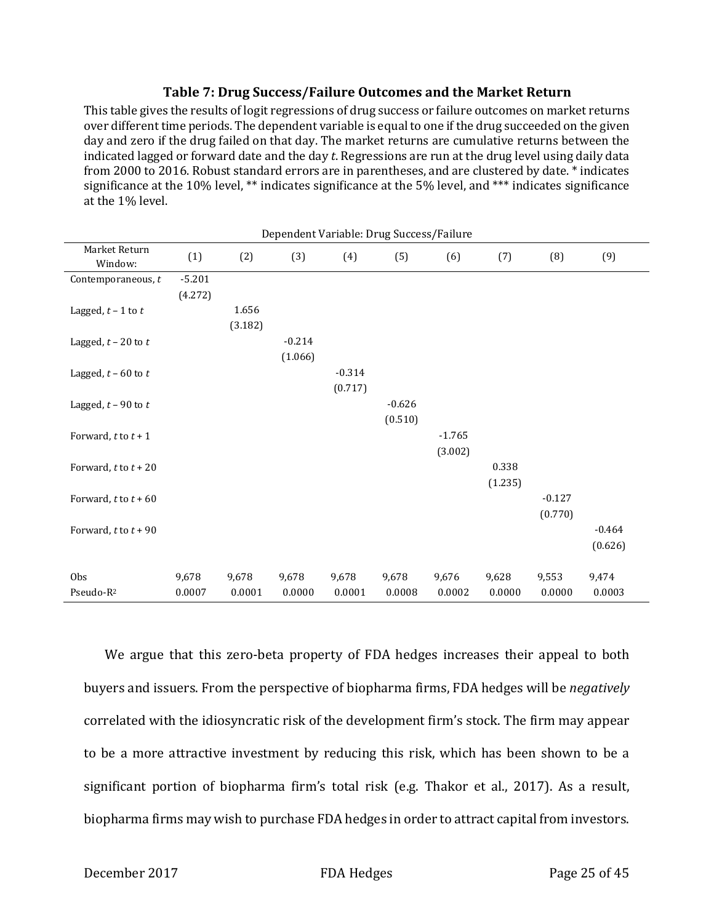#### **Table 7: Drug Success/Failure Outcomes and the Market Return**

This table gives the results of logit regressions of drug success or failure outcomes on market returns over different time periods. The dependent variable is equal to one if the drug succeeded on the given day and zero if the drug failed on that day. The market returns are cumulative returns between the indicated lagged or forward date and the day *t*. Regressions are run at the drug level using daily data from 2000 to 2016. Robust standard errors are in parentheses, and are clustered by date. \* indicates significance at the 10% level, \*\* indicates significance at the 5% level, and \*\*\* indicates significance at the 1% level.

|                          |          |         |          | Dependent Variable: Drug Success/Failure |          |          |         |          |          |
|--------------------------|----------|---------|----------|------------------------------------------|----------|----------|---------|----------|----------|
| Market Return<br>Window: | (1)      | (2)     | (3)      | (4)                                      | (5)      | (6)      | (7)     | (8)      | (9)      |
| Contemporaneous, t       | $-5.201$ |         |          |                                          |          |          |         |          |          |
|                          | (4.272)  |         |          |                                          |          |          |         |          |          |
| Lagged, $t - 1$ to $t$   |          | 1.656   |          |                                          |          |          |         |          |          |
|                          |          | (3.182) |          |                                          |          |          |         |          |          |
| Lagged, $t - 20$ to $t$  |          |         | $-0.214$ |                                          |          |          |         |          |          |
|                          |          |         | (1.066)  |                                          |          |          |         |          |          |
| Lagged, $t$ – 60 to $t$  |          |         |          | $-0.314$                                 |          |          |         |          |          |
|                          |          |         |          | (0.717)                                  |          |          |         |          |          |
| Lagged, $t$ - 90 to $t$  |          |         |          |                                          | $-0.626$ |          |         |          |          |
|                          |          |         |          |                                          | (0.510)  |          |         |          |          |
| Forward, $t$ to $t + 1$  |          |         |          |                                          |          | $-1.765$ |         |          |          |
|                          |          |         |          |                                          |          |          |         |          |          |
|                          |          |         |          |                                          |          | (3.002)  |         |          |          |
| Forward, $t$ to $t$ + 20 |          |         |          |                                          |          |          | 0.338   |          |          |
|                          |          |         |          |                                          |          |          | (1.235) |          |          |
| Forward, $t$ to $t$ + 60 |          |         |          |                                          |          |          |         | $-0.127$ |          |
|                          |          |         |          |                                          |          |          |         | (0.770)  |          |
| Forward, $t$ to $t$ + 90 |          |         |          |                                          |          |          |         |          | $-0.464$ |
|                          |          |         |          |                                          |          |          |         |          | (0.626)  |
|                          |          |         |          |                                          |          |          |         |          |          |
| Obs                      | 9,678    | 9,678   | 9,678    | 9,678                                    | 9,678    | 9,676    | 9,628   | 9,553    | 9,474    |
| Pseudo-R <sup>2</sup>    | 0.0007   | 0.0001  | 0.0000   | 0.0001                                   | 0.0008   | 0.0002   | 0.0000  | 0.0000   | 0.0003   |

We argue that this zero-beta property of FDA hedges increases their appeal to both buyers and issuers. From the perspective of biopharma firms, FDA hedges will be *negatively* correlated with the idiosyncratic risk of the development firm's stock. The firm may appear to be a more attractive investment by reducing this risk, which has been shown to be a significant portion of biopharma firm's total risk (e.g. Thakor et al., 2017). As a result, biopharma firms may wish to purchase FDA hedges in order to attract capital from investors.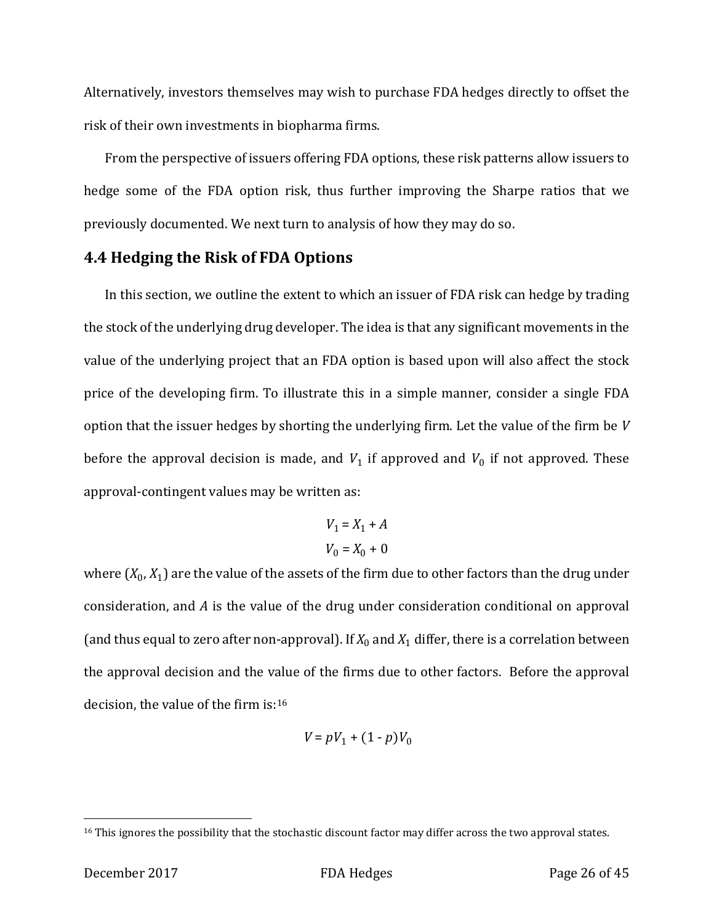Alternatively, investors themselves may wish to purchase FDA hedges directly to offset the risk of their own investments in biopharma firms.

From the perspective of issuers offering FDA options, these risk patterns allow issuers to hedge some of the FDA option risk, thus further improving the Sharpe ratios that we previously documented. We next turn to analysis of how they may do so.

### **4.4 Hedging the Risk of FDA Options**

In this section, we outline the extent to which an issuer of FDA risk can hedge by trading the stock of the underlying drug developer. The idea is that any significant movements in the value of the underlying project that an FDA option is based upon will also affect the stock price of the developing firm. To illustrate this in a simple manner, consider a single FDA option that the issuer hedges by shorting the underlying firm. Let the value of the firm be *V* before the approval decision is made, and  $V_1$  if approved and  $V_0$  if not approved. These approval-contingent values may be written as:

$$
V_1 = X_1 + A
$$
  

$$
V_0 = X_0 + 0
$$

where  $(X_0, X_1)$  are the value of the assets of the firm due to other factors than the drug under consideration, and *A* is the value of the drug under consideration conditional on approval (and thus equal to zero after non-approval). If  $X_0$  and  $X_1$  differ, there is a correlation between the approval decision and the value of the firms due to other factors. Before the approval decision, the value of the firm is:[16](#page-26-0)

$$
V\!=pV_1+(1-p)V_0
$$

<span id="page-26-0"></span><sup>&</sup>lt;sup>16</sup> This ignores the possibility that the stochastic discount factor may differ across the two approval states.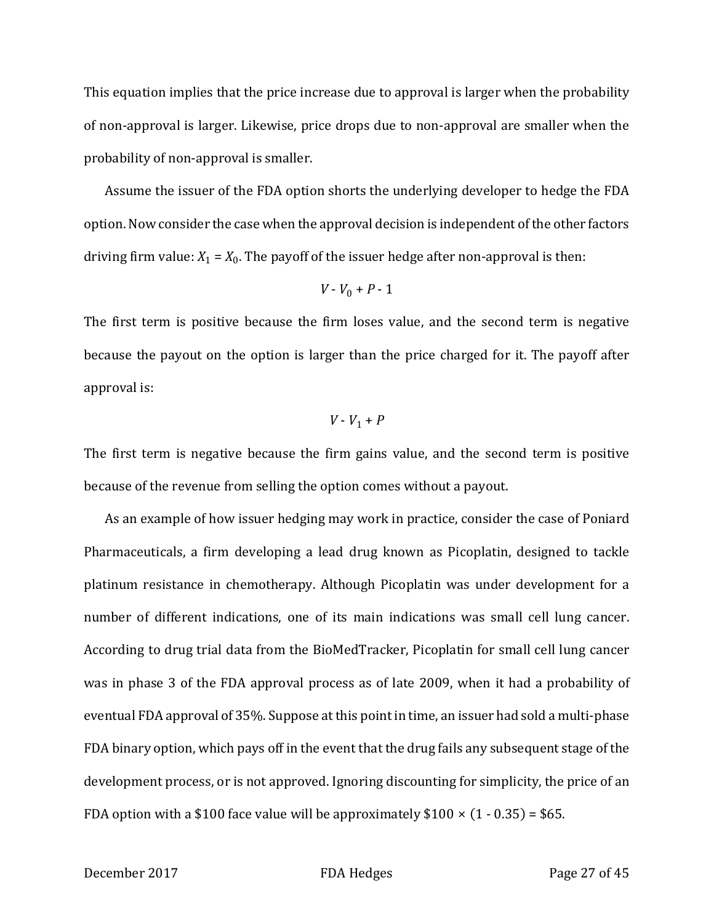This equation implies that the price increase due to approval is larger when the probability of non-approval is larger. Likewise, price drops due to non-approval are smaller when the probability of non-approval is smaller.

Assume the issuer of the FDA option shorts the underlying developer to hedge the FDA option. Now consider the case when the approval decision is independent of the other factors driving firm value:  $X_1 = X_0$ . The payoff of the issuer hedge after non-approval is then:

$$
V\cdot V_0+P\cdot 1
$$

The first term is positive because the firm loses value, and the second term is negative because the payout on the option is larger than the price charged for it. The payoff after approval is:

$$
V - V_1 + P
$$

The first term is negative because the firm gains value, and the second term is positive because of the revenue from selling the option comes without a payout.

As an example of how issuer hedging may work in practice, consider the case of Poniard Pharmaceuticals, a firm developing a lead drug known as Picoplatin, designed to tackle platinum resistance in chemotherapy. Although Picoplatin was under development for a number of different indications, one of its main indications was small cell lung cancer. According to drug trial data from the BioMedTracker, Picoplatin for small cell lung cancer was in phase 3 of the FDA approval process as of late 2009, when it had a probability of eventual FDA approval of 35%. Suppose at this point in time, an issuer had sold a multi-phase FDA binary option, which pays off in the event that the drug fails any subsequent stage of the development process, or is not approved. Ignoring discounting for simplicity, the price of an FDA option with a \$100 face value will be approximately  $$100 \times (1 - 0.35) = $65$ .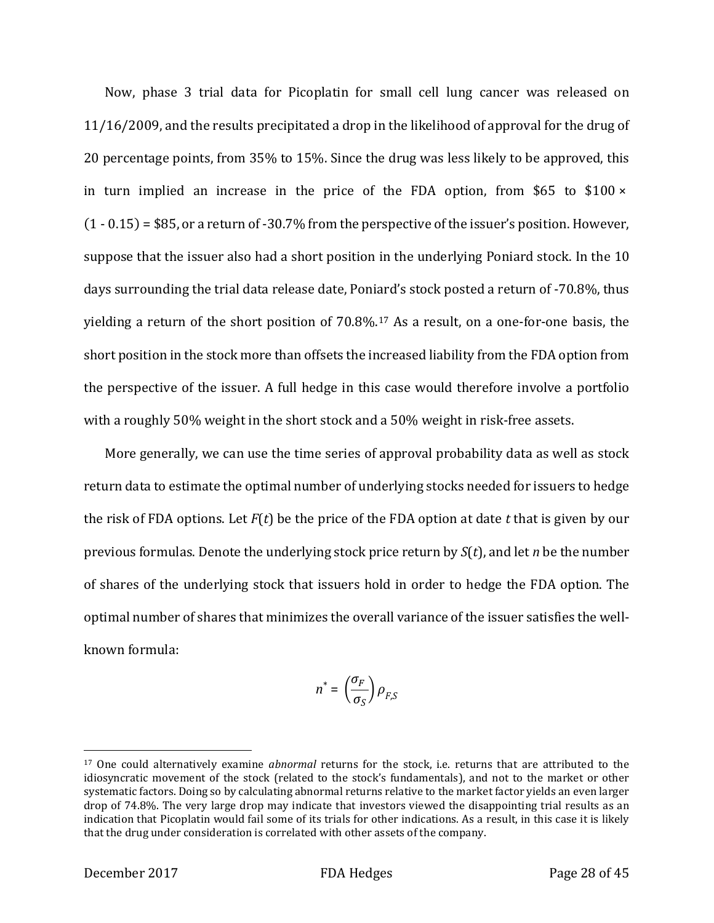Now, phase 3 trial data for Picoplatin for small cell lung cancer was released on 11/16/2009, and the results precipitated a drop in the likelihood of approval for the drug of 20 percentage points, from 35% to 15%. Since the drug was less likely to be approved, this in turn implied an increase in the price of the FDA option, from \$65 to \$100  $\times$ (1 - 0.15) = \$85, or a return of -30.7% from the perspective of the issuer's position. However, suppose that the issuer also had a short position in the underlying Poniard stock. In the 10 days surrounding the trial data release date, Poniard's stock posted a return of -70.8%, thus yielding a return of the short position of 70.8%.[17](#page-28-0) As a result, on a one-for-one basis, the short position in the stock more than offsets the increased liability from the FDA option from the perspective of the issuer. A full hedge in this case would therefore involve a portfolio with a roughly 50% weight in the short stock and a 50% weight in risk-free assets.

More generally, we can use the time series of approval probability data as well as stock return data to estimate the optimal number of underlying stocks needed for issuers to hedge the risk of FDA options. Let *F*(*t*) be the price of the FDA option at date *t* that is given by our previous formulas. Denote the underlying stock price return by *S*(*t*), and let *n* be the number of shares of the underlying stock that issuers hold in order to hedge the FDA option. The optimal number of shares that minimizes the overall variance of the issuer satisfies the wellknown formula:

$$
n^* = \left(\frac{\sigma_F}{\sigma_S}\right)\rho_{F,S}
$$

<span id="page-28-0"></span><sup>17</sup> One could alternatively examine *abnormal* returns for the stock, i.e. returns that are attributed to the idiosyncratic movement of the stock (related to the stock's fundamentals), and not to the market or other systematic factors. Doing so by calculating abnormal returns relative to the market factor yields an even larger drop of 74.8%. The very large drop may indicate that investors viewed the disappointing trial results as an indication that Picoplatin would fail some of its trials for other indications. As a result, in this case it is likely that the drug under consideration is correlated with other assets of the company.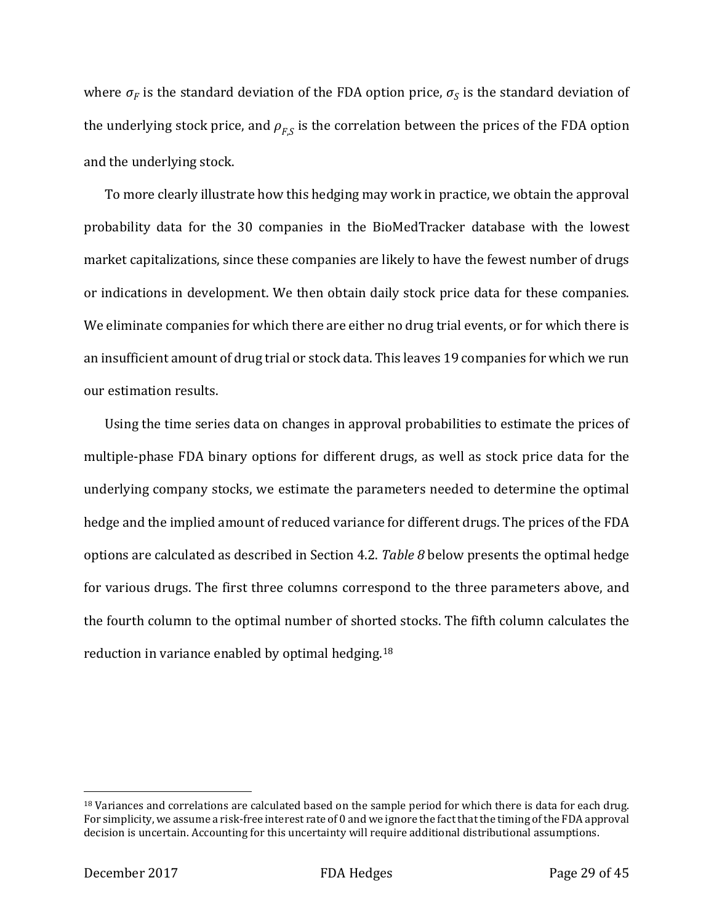where  $\sigma_F$  is the standard deviation of the FDA option price,  $\sigma_S$  is the standard deviation of the underlying stock price, and  $\rho_{FS}$  is the correlation between the prices of the FDA option and the underlying stock.

To more clearly illustrate how this hedging may work in practice, we obtain the approval probability data for the 30 companies in the BioMedTracker database with the lowest market capitalizations, since these companies are likely to have the fewest number of drugs or indications in development. We then obtain daily stock price data for these companies. We eliminate companies for which there are either no drug trial events, or for which there is an insufficient amount of drug trial or stock data. This leaves 19 companies for which we run our estimation results.

Using the time series data on changes in approval probabilities to estimate the prices of multiple-phase FDA binary options for different drugs, as well as stock price data for the underlying company stocks, we estimate the parameters needed to determine the optimal hedge and the implied amount of reduced variance for different drugs. The prices of the FDA options are calculated as described in Section 4.2. *Table 8* below presents the optimal hedge for various drugs. The first three columns correspond to the three parameters above, and the fourth column to the optimal number of shorted stocks. The fifth column calculates the reduction in variance enabled by optimal hedging.[18](#page-29-0)

<span id="page-29-0"></span><sup>&</sup>lt;sup>18</sup> Variances and correlations are calculated based on the sample period for which there is data for each drug. For simplicity, we assume a risk-free interest rate of 0 and we ignore the fact that the timing of the FDA approval decision is uncertain. Accounting for this uncertainty will require additional distributional assumptions.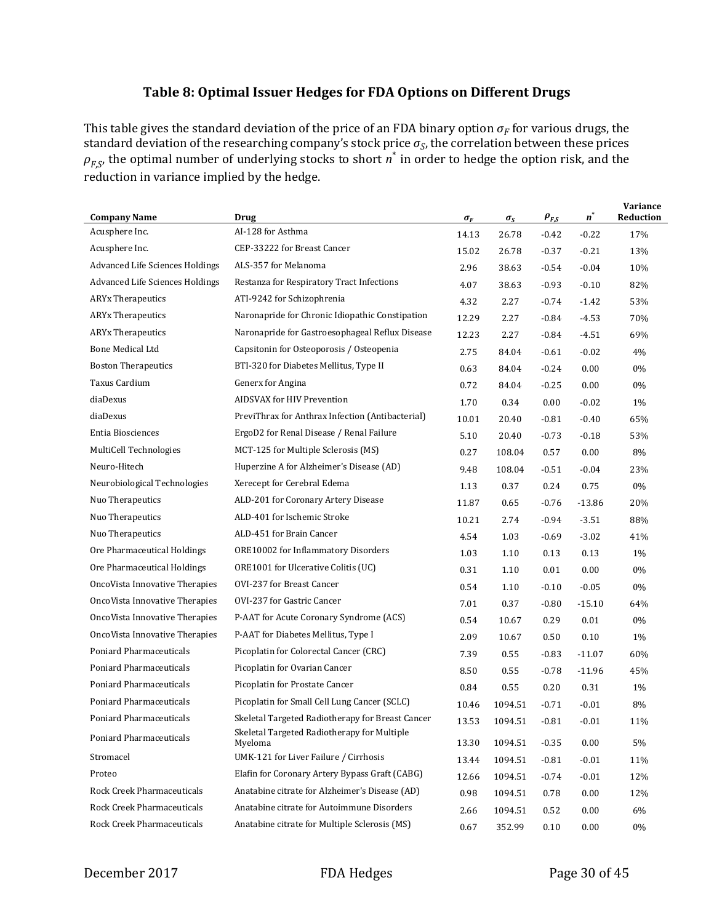### **Table 8: Optimal Issuer Hedges for FDA Options on Different Drugs**

This table gives the standard deviation of the price of an FDA binary option  $\sigma_F$  for various drugs, the standard deviation of the researching company's stock price  $\sigma_S$ , the correlation between these prices  $\rho_{F,S}$ , the optimal number of underlying stocks to short *n*<sup>\*</sup> in order to hedge the option risk, and the reduction in variance implied by the hedge.

| <b>Company Name</b>             | Drug                                                   | $\sigma_F$ | $\sigma_{S}$ | $\rho_{F,S}$ | $n^*$    | Variance<br>Reduction |
|---------------------------------|--------------------------------------------------------|------------|--------------|--------------|----------|-----------------------|
| Acusphere Inc.                  | AI-128 for Asthma                                      | 14.13      | 26.78        | $-0.42$      | $-0.22$  | 17%                   |
| Acusphere Inc.                  | CEP-33222 for Breast Cancer                            | 15.02      | 26.78        | $-0.37$      | $-0.21$  | 13%                   |
| Advanced Life Sciences Holdings | ALS-357 for Melanoma                                   | 2.96       | 38.63        | $-0.54$      | $-0.04$  | 10%                   |
| Advanced Life Sciences Holdings | Restanza for Respiratory Tract Infections              | 4.07       | 38.63        | $-0.93$      | $-0.10$  | 82%                   |
| <b>ARYx Therapeutics</b>        | ATI-9242 for Schizophrenia                             | 4.32       | 2.27         | $-0.74$      | $-1.42$  | 53%                   |
| <b>ARYx Therapeutics</b>        | Naronapride for Chronic Idiopathic Constipation        | 12.29      | 2.27         | $-0.84$      | $-4.53$  | 70%                   |
| <b>ARYx Therapeutics</b>        | Naronapride for Gastroesophageal Reflux Disease        | 12.23      | 2.27         | $-0.84$      | $-4.51$  | 69%                   |
| <b>Bone Medical Ltd</b>         | Capsitonin for Osteoporosis / Osteopenia               | 2.75       | 84.04        | $-0.61$      | $-0.02$  | 4%                    |
| <b>Boston Therapeutics</b>      | BTI-320 for Diabetes Mellitus, Type II                 | 0.63       | 84.04        | $-0.24$      | 0.00     | 0%                    |
| Taxus Cardium                   | Generx for Angina                                      | 0.72       | 84.04        | $-0.25$      | 0.00     | 0%                    |
| diaDexus                        | AIDSVAX for HIV Prevention                             | 1.70       | 0.34         | 0.00         | $-0.02$  | 1%                    |
| diaDexus                        | PreviThrax for Anthrax Infection (Antibacterial)       | 10.01      | 20.40        | $-0.81$      | $-0.40$  | 65%                   |
| <b>Entia Biosciences</b>        | ErgoD2 for Renal Disease / Renal Failure               | 5.10       | 20.40        | $-0.73$      | $-0.18$  | 53%                   |
| MultiCell Technologies          | MCT-125 for Multiple Sclerosis (MS)                    | 0.27       | 108.04       | 0.57         | 0.00     | 8%                    |
| Neuro-Hitech                    | Huperzine A for Alzheimer's Disease (AD)               | 9.48       | 108.04       | $-0.51$      | $-0.04$  | 23%                   |
| Neurobiological Technologies    | Xerecept for Cerebral Edema                            | 1.13       | 0.37         | 0.24         | 0.75     | 0%                    |
| Nuo Therapeutics                | ALD-201 for Coronary Artery Disease                    | 11.87      | 0.65         | $-0.76$      | $-13.86$ | 20%                   |
| Nuo Therapeutics                | ALD-401 for Ischemic Stroke                            | 10.21      | 2.74         | $-0.94$      | $-3.51$  | 88%                   |
| Nuo Therapeutics                | ALD-451 for Brain Cancer                               | 4.54       | 1.03         | $-0.69$      | $-3.02$  | 41%                   |
| Ore Pharmaceutical Holdings     | ORE10002 for Inflammatory Disorders                    | 1.03       | 1.10         | 0.13         | 0.13     | 1%                    |
| Ore Pharmaceutical Holdings     | ORE1001 for Ulcerative Colitis (UC)                    | 0.31       | 1.10         | 0.01         | 0.00     | 0%                    |
| OncoVista Innovative Therapies  | OVI-237 for Breast Cancer                              | 0.54       | 1.10         | $-0.10$      | $-0.05$  | 0%                    |
| OncoVista Innovative Therapies  | OVI-237 for Gastric Cancer                             | 7.01       | 0.37         | $-0.80$      | $-15.10$ | 64%                   |
| OncoVista Innovative Therapies  | P-AAT for Acute Coronary Syndrome (ACS)                | 0.54       | 10.67        | 0.29         | 0.01     | 0%                    |
| OncoVista Innovative Therapies  | P-AAT for Diabetes Mellitus, Type I                    | 2.09       | 10.67        | 0.50         | 0.10     | 1%                    |
| Poniard Pharmaceuticals         | Picoplatin for Colorectal Cancer (CRC)                 | 7.39       | 0.55         | $-0.83$      | $-11.07$ | 60%                   |
| Poniard Pharmaceuticals         | Picoplatin for Ovarian Cancer                          | 8.50       | 0.55         | $-0.78$      | $-11.96$ | 45%                   |
| Poniard Pharmaceuticals         | Picoplatin for Prostate Cancer                         | 0.84       | 0.55         | 0.20         | 0.31     | 1%                    |
| Poniard Pharmaceuticals         | Picoplatin for Small Cell Lung Cancer (SCLC)           | 10.46      | 1094.51      | $-0.71$      | $-0.01$  | 8%                    |
| Poniard Pharmaceuticals         | Skeletal Targeted Radiotherapy for Breast Cancer       | 13.53      | 1094.51      | $-0.81$      | $-0.01$  | 11%                   |
| Poniard Pharmaceuticals         | Skeletal Targeted Radiotherapy for Multiple<br>Myeloma | 13.30      | 1094.51      | $-0.35$      | 0.00     | 5%                    |
| Stromacel                       | UMK-121 for Liver Failure / Cirrhosis                  | 13.44      | 1094.51      | $-0.81$      | $-0.01$  | 11%                   |
| Proteo                          | Elafin for Coronary Artery Bypass Graft (CABG)         | 12.66      | 1094.51      | $-0.74$      | $-0.01$  | 12%                   |
| Rock Creek Pharmaceuticals      | Anatabine citrate for Alzheimer's Disease (AD)         | 0.98       | 1094.51      | 0.78         | 0.00     | 12%                   |
| Rock Creek Pharmaceuticals      | Anatabine citrate for Autoimmune Disorders             | 2.66       | 1094.51      | 0.52         | 0.00     | 6%                    |
| Rock Creek Pharmaceuticals      | Anatabine citrate for Multiple Sclerosis (MS)          | 0.67       | 352.99       | 0.10         | 0.00     | 0%                    |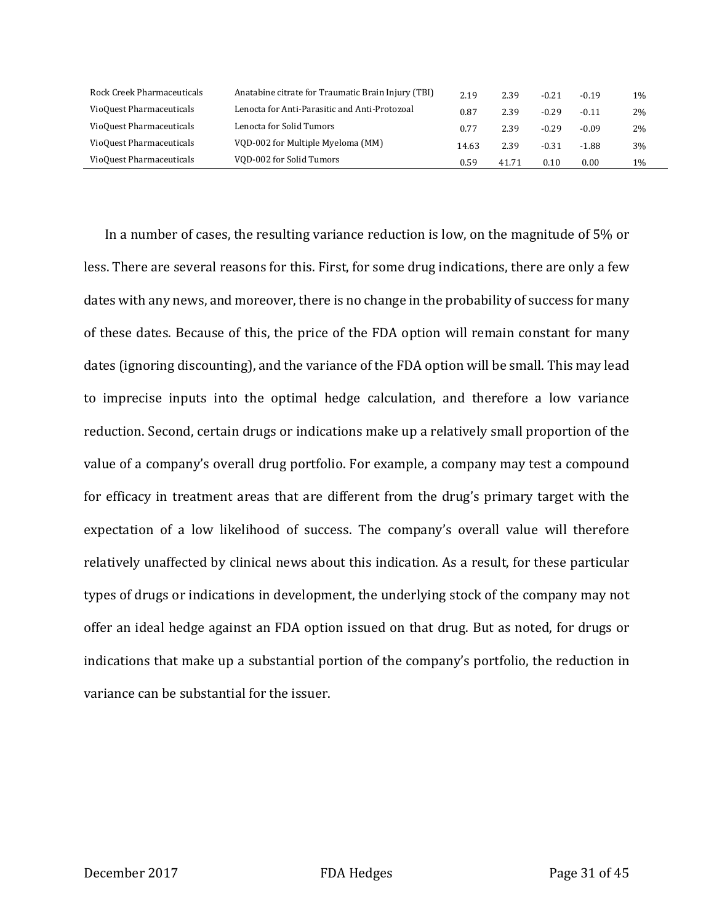| Rock Creek Pharmaceuticals | Anatabine citrate for Traumatic Brain Injury (TBI) | 2.19  | 2.39  | $-0.21$ | $-0.19$ | $1\%$ |
|----------------------------|----------------------------------------------------|-------|-------|---------|---------|-------|
| VioQuest Pharmaceuticals   | Lenocta for Anti-Parasitic and Anti-Protozoal      | 0.87  | 2.39  | $-0.29$ | $-0.11$ | 2%    |
| VioQuest Pharmaceuticals   | Lenocta for Solid Tumors                           | 0.77  | 2.39  | $-0.29$ | $-0.09$ | 2%    |
| VioQuest Pharmaceuticals   | VOD-002 for Multiple Myeloma (MM)                  | 14.63 | 2.39  | $-0.31$ | $-1.88$ | 3%    |
| VioQuest Pharmaceuticals   | VOD-002 for Solid Tumors                           | 0.59  | 41.71 | 0.10    | 0.00    | 1%    |

In a number of cases, the resulting variance reduction is low, on the magnitude of 5% or less. There are several reasons for this. First, for some drug indications, there are only a few dates with any news, and moreover, there is no change in the probability of success for many of these dates. Because of this, the price of the FDA option will remain constant for many dates (ignoring discounting), and the variance of the FDA option will be small. This may lead to imprecise inputs into the optimal hedge calculation, and therefore a low variance reduction. Second, certain drugs or indications make up a relatively small proportion of the value of a company's overall drug portfolio. For example, a company may test a compound for efficacy in treatment areas that are different from the drug's primary target with the expectation of a low likelihood of success. The company's overall value will therefore relatively unaffected by clinical news about this indication. As a result, for these particular types of drugs or indications in development, the underlying stock of the company may not offer an ideal hedge against an FDA option issued on that drug. But as noted, for drugs or indications that make up a substantial portion of the company's portfolio, the reduction in variance can be substantial for the issuer.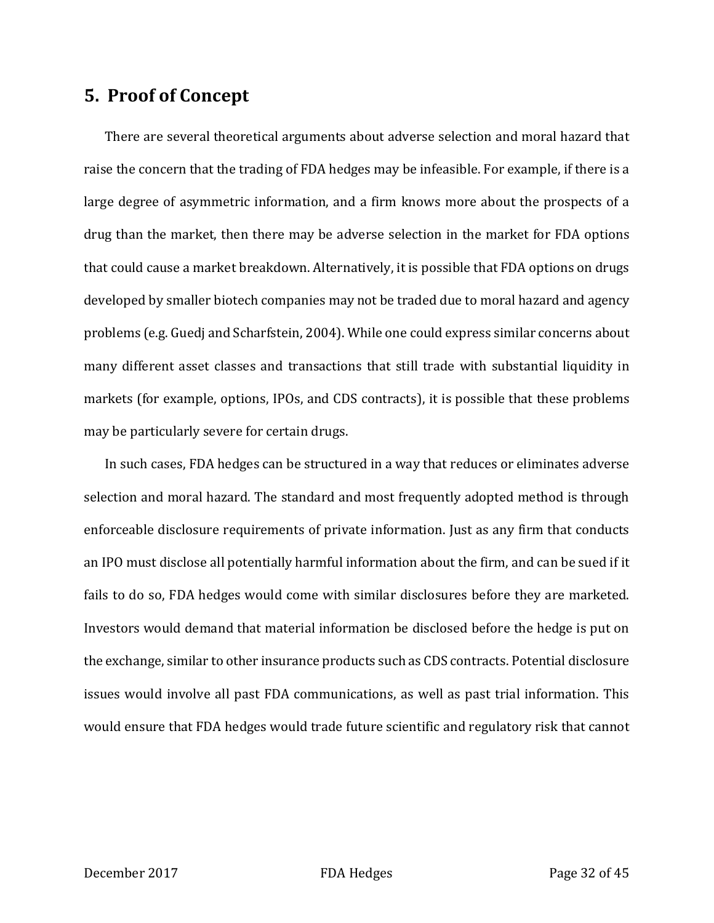# **5. Proof of Concept**

There are several theoretical arguments about adverse selection and moral hazard that raise the concern that the trading of FDA hedges may be infeasible. For example, if there is a large degree of asymmetric information, and a firm knows more about the prospects of a drug than the market, then there may be adverse selection in the market for FDA options that could cause a market breakdown. Alternatively, it is possible that FDA options on drugs developed by smaller biotech companies may not be traded due to moral hazard and agency problems (e.g. Guedj and Scharfstein, 2004). While one could express similar concerns about many different asset classes and transactions that still trade with substantial liquidity in markets (for example, options, IPOs, and CDS contracts), it is possible that these problems may be particularly severe for certain drugs.

In such cases, FDA hedges can be structured in a way that reduces or eliminates adverse selection and moral hazard. The standard and most frequently adopted method is through enforceable disclosure requirements of private information. Just as any firm that conducts an IPO must disclose all potentially harmful information about the firm, and can be sued if it fails to do so, FDA hedges would come with similar disclosures before they are marketed. Investors would demand that material information be disclosed before the hedge is put on the exchange, similar to other insurance products such as CDS contracts. Potential disclosure issues would involve all past FDA communications, as well as past trial information. This would ensure that FDA hedges would trade future scientific and regulatory risk that cannot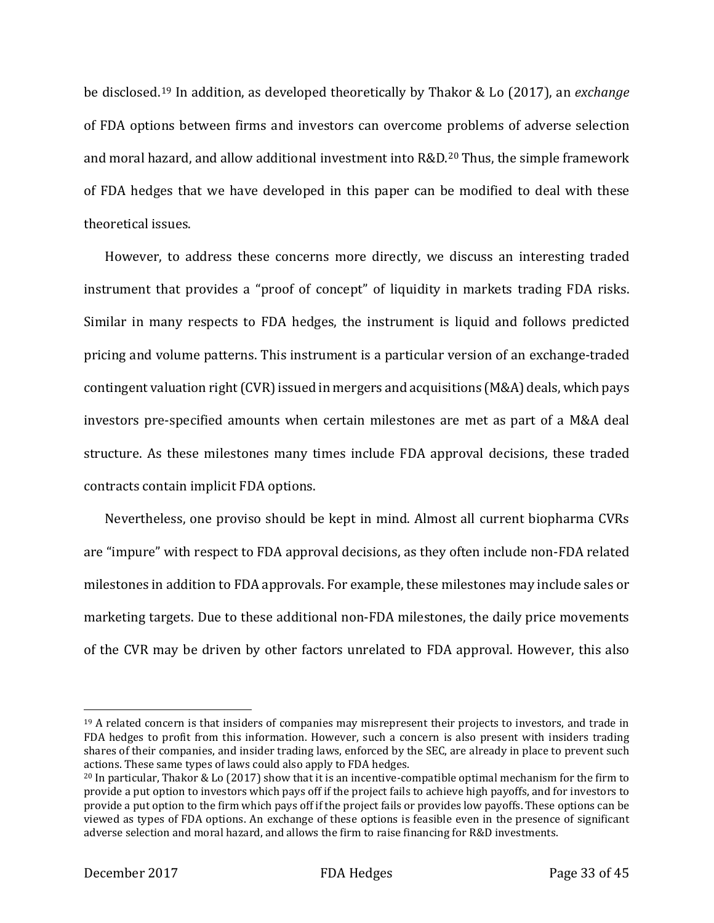be disclosed.[19](#page-33-0) In addition, as developed theoretically by Thakor & Lo (2017), an *exchange* of FDA options between firms and investors can overcome problems of adverse selection and moral hazard, and allow additional investment into R&D.[20](#page-33-1) Thus, the simple framework of FDA hedges that we have developed in this paper can be modified to deal with these theoretical issues.

However, to address these concerns more directly, we discuss an interesting traded instrument that provides a "proof of concept" of liquidity in markets trading FDA risks. Similar in many respects to FDA hedges, the instrument is liquid and follows predicted pricing and volume patterns. This instrument is a particular version of an exchange-traded contingent valuation right (CVR) issued in mergers and acquisitions (M&A) deals, which pays investors pre-specified amounts when certain milestones are met as part of a M&A deal structure. As these milestones many times include FDA approval decisions, these traded contracts contain implicit FDA options.

Nevertheless, one proviso should be kept in mind. Almost all current biopharma CVRs are "impure" with respect to FDA approval decisions, as they often include non-FDA related milestones in addition to FDA approvals. For example, these milestones may include sales or marketing targets. Due to these additional non-FDA milestones, the daily price movements of the CVR may be driven by other factors unrelated to FDA approval. However, this also

<span id="page-33-0"></span><sup>&</sup>lt;sup>19</sup> A related concern is that insiders of companies may misrepresent their projects to investors, and trade in FDA hedges to profit from this information. However, such a concern is also present with insiders trading shares of their companies, and insider trading laws, enforced by the SEC, are already in place to prevent such actions. These same types of laws could also apply to FDA hedges.

<span id="page-33-1"></span><sup>&</sup>lt;sup>20</sup> In particular, Thakor & Lo (2017) show that it is an incentive-compatible optimal mechanism for the firm to provide a put option to investors which pays off if the project fails to achieve high payoffs, and for investors to provide a put option to the firm which pays off if the project fails or provides low payoffs. These options can be viewed as types of FDA options. An exchange of these options is feasible even in the presence of significant adverse selection and moral hazard, and allows the firm to raise financing for R&D investments.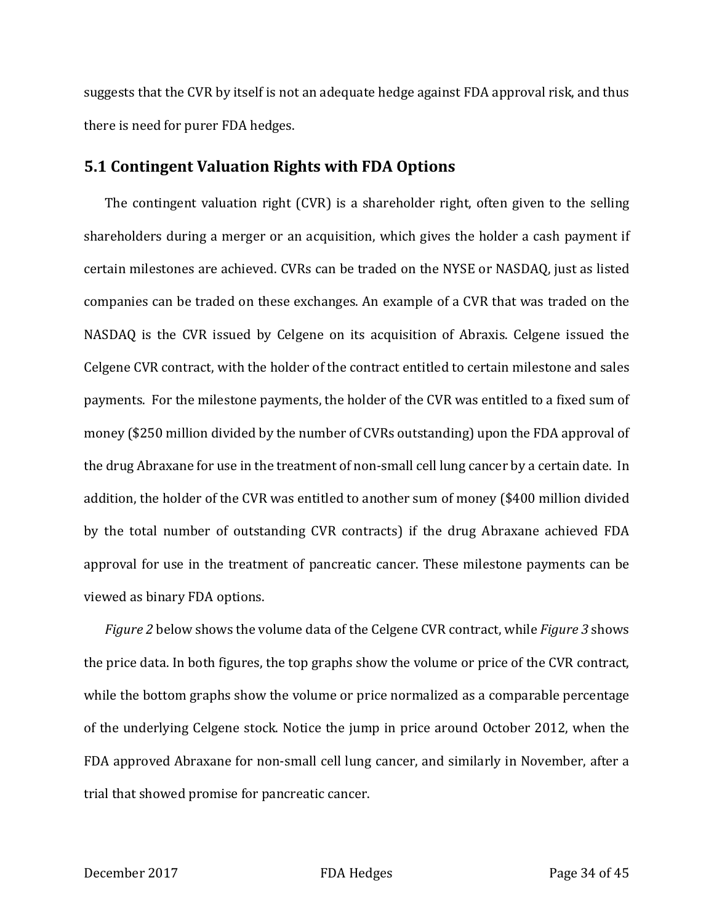suggests that the CVR by itself is not an adequate hedge against FDA approval risk, and thus there is need for purer FDA hedges.

### **5.1 Contingent Valuation Rights with FDA Options**

The contingent valuation right (CVR) is a shareholder right, often given to the selling shareholders during a merger or an acquisition, which gives the holder a cash payment if certain milestones are achieved. CVRs can be traded on the NYSE or NASDAQ, just as listed companies can be traded on these exchanges. An example of a CVR that was traded on the NASDAQ is the CVR issued by Celgene on its acquisition of Abraxis. Celgene issued the Celgene CVR contract, with the holder of the contract entitled to certain milestone and sales payments. For the milestone payments, the holder of the CVR was entitled to a fixed sum of money (\$250 million divided by the number of CVRs outstanding) upon the FDA approval of the drug Abraxane for use in the treatment of non-small cell lung cancer by a certain date. In addition, the holder of the CVR was entitled to another sum of money (\$400 million divided by the total number of outstanding CVR contracts) if the drug Abraxane achieved FDA approval for use in the treatment of pancreatic cancer. These milestone payments can be viewed as binary FDA options.

*Figure 2* below shows the volume data of the Celgene CVR contract, while *Figure 3* shows the price data. In both figures, the top graphs show the volume or price of the CVR contract, while the bottom graphs show the volume or price normalized as a comparable percentage of the underlying Celgene stock. Notice the jump in price around October 2012, when the FDA approved Abraxane for non-small cell lung cancer, and similarly in November, after a trial that showed promise for pancreatic cancer.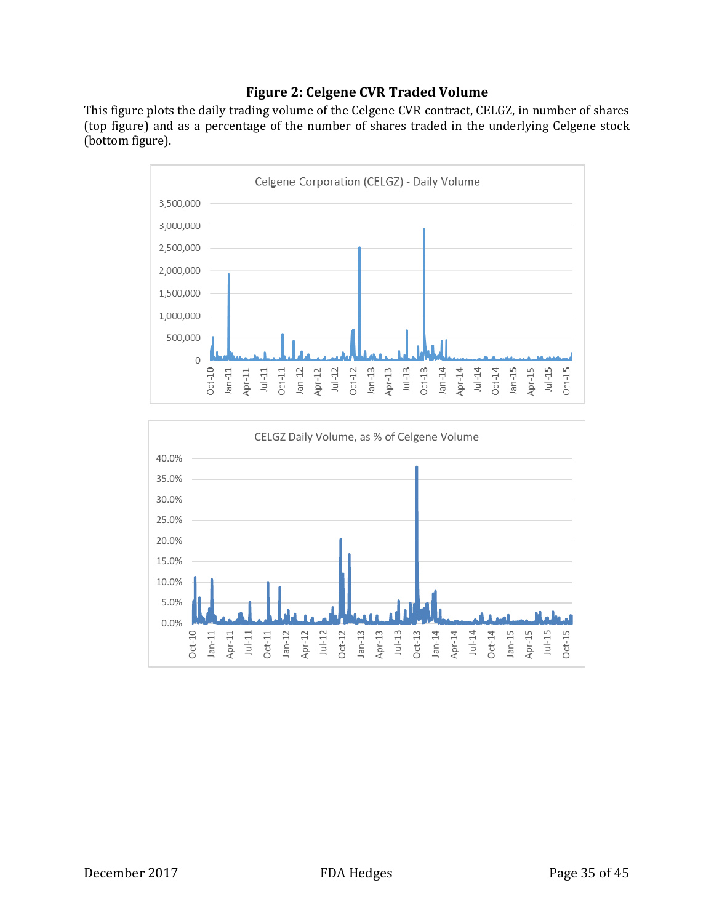### **Figure 2: Celgene CVR Traded Volume**

This figure plots the daily trading volume of the Celgene CVR contract, CELGZ, in number of shares (top figure) and as a percentage of the number of shares traded in the underlying Celgene stock (bottom figure).



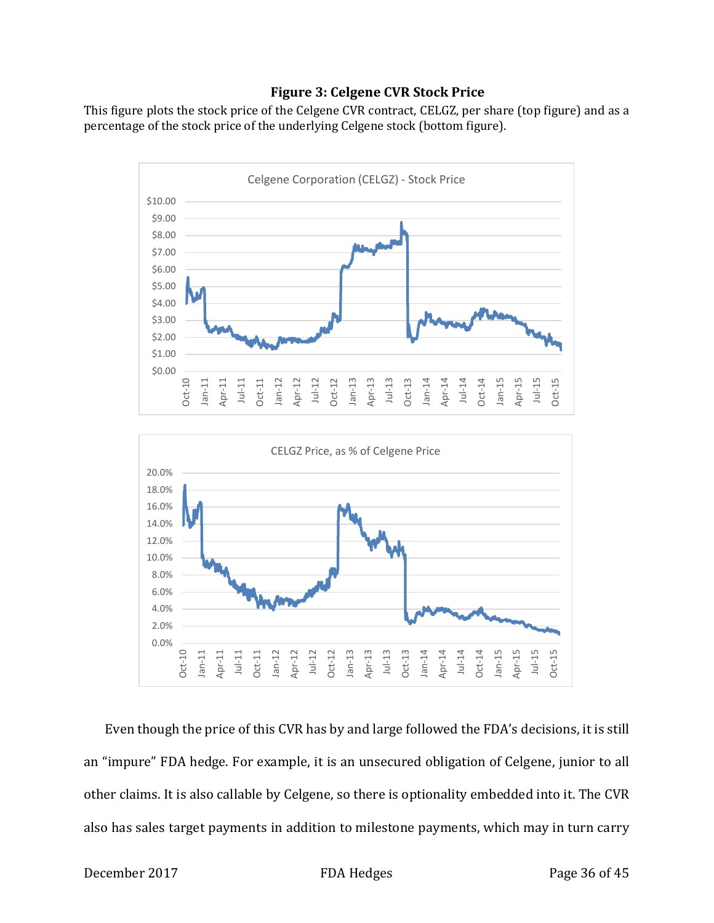### **Figure 3: Celgene CVR Stock Price**

This figure plots the stock price of the Celgene CVR contract, CELGZ, per share (top figure) and as a percentage of the stock price of the underlying Celgene stock (bottom figure).





Even though the price of this CVR has by and large followed the FDA's decisions, it is still an "impure" FDA hedge. For example, it is an unsecured obligation of Celgene, junior to all other claims. It is also callable by Celgene, so there is optionality embedded into it. The CVR also has sales target payments in addition to milestone payments, which may in turn carry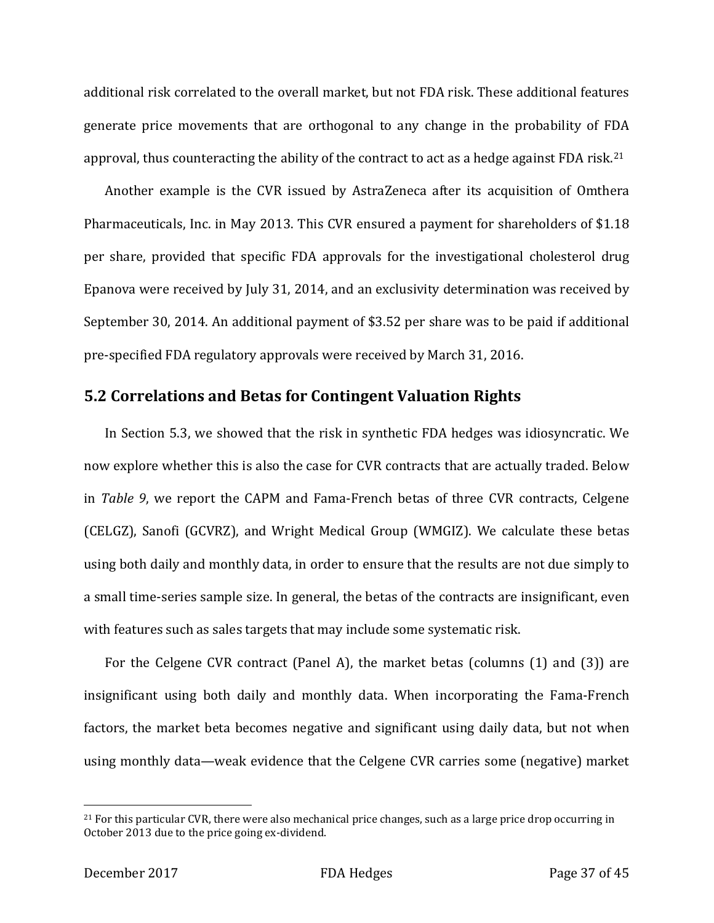additional risk correlated to the overall market, but not FDA risk. These additional features generate price movements that are orthogonal to any change in the probability of FDA approval, thus counteracting the ability of the contract to act as a hedge against FDA risk.<sup>[21](#page-37-0)</sup>

Another example is the CVR issued by AstraZeneca after its acquisition of Omthera Pharmaceuticals, Inc. in May 2013. This CVR ensured a payment for shareholders of \$1.18 per share, provided that specific FDA approvals for the investigational cholesterol drug Epanova were received by July 31, 2014, and an exclusivity determination was received by September 30, 2014. An additional payment of \$3.52 per share was to be paid if additional pre-specified FDA regulatory approvals were received by March 31, 2016.

### **5.2 Correlations and Betas for Contingent Valuation Rights**

In Section 5.3, we showed that the risk in synthetic FDA hedges was idiosyncratic. We now explore whether this is also the case for CVR contracts that are actually traded. Below in *Table 9*, we report the CAPM and Fama-French betas of three CVR contracts, Celgene (CELGZ), Sanofi (GCVRZ), and Wright Medical Group (WMGIZ). We calculate these betas using both daily and monthly data, in order to ensure that the results are not due simply to a small time-series sample size. In general, the betas of the contracts are insignificant, even with features such as sales targets that may include some systematic risk.

For the Celgene CVR contract (Panel A), the market betas (columns (1) and (3)) are insignificant using both daily and monthly data. When incorporating the Fama-French factors, the market beta becomes negative and significant using daily data, but not when using monthly data—weak evidence that the Celgene CVR carries some (negative) market

<span id="page-37-0"></span> $21$  For this particular CVR, there were also mechanical price changes, such as a large price drop occurring in October 2013 due to the price going ex-dividend.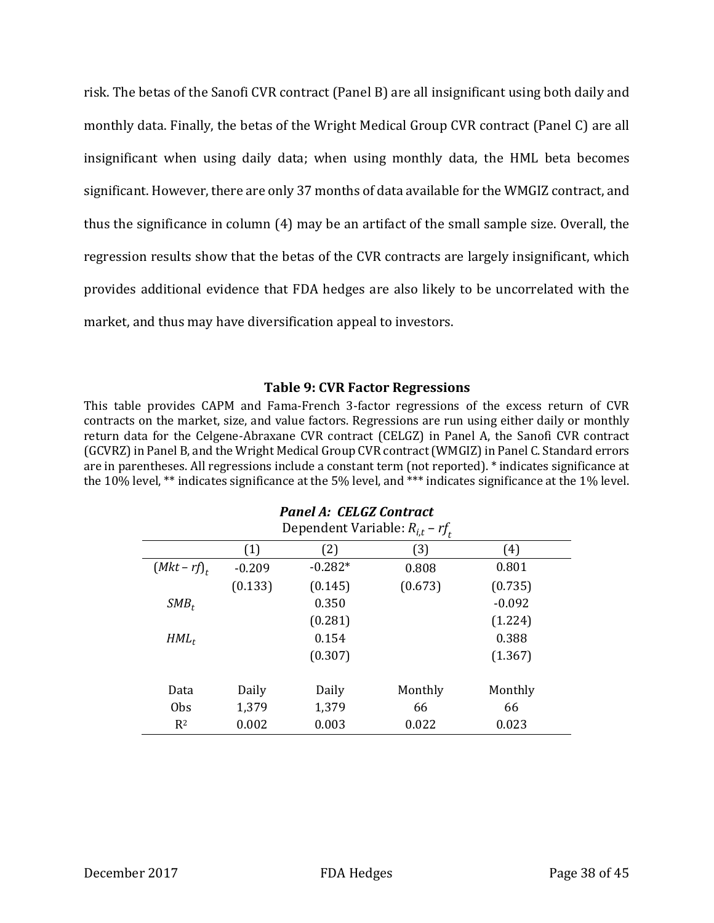risk. The betas of the Sanofi CVR contract (Panel B) are all insignificant using both daily and monthly data. Finally, the betas of the Wright Medical Group CVR contract (Panel C) are all insignificant when using daily data; when using monthly data, the HML beta becomes significant. However, there are only 37 months of data available for the WMGIZ contract, and thus the significance in column (4) may be an artifact of the small sample size. Overall, the regression results show that the betas of the CVR contracts are largely insignificant, which provides additional evidence that FDA hedges are also likely to be uncorrelated with the market, and thus may have diversification appeal to investors.

#### **Table 9: CVR Factor Regressions**

This table provides CAPM and Fama-French 3-factor regressions of the excess return of CVR contracts on the market, size, and value factors. Regressions are run using either daily or monthly return data for the Celgene-Abraxane CVR contract (CELGZ) in Panel A, the Sanofi CVR contract (GCVRZ) in Panel B, and the Wright Medical Group CVR contract (WMGIZ) in Panel C. Standard errors are in parentheses. All regressions include a constant term (not reported). \* indicates significance at the 10% level, \*\* indicates significance at the 5% level, and \*\*\* indicates significance at the 1% level.

*Panel A: CELGZ Contract*

|                | Dependent Variable: $R_{i,t}$ – $rf_t$ |           |         |          |  |  |  |
|----------------|----------------------------------------|-----------|---------|----------|--|--|--|
|                | (1)                                    | (2)       | (3)     | (4)      |  |  |  |
| $(Mkt-rf)_{r}$ | $-0.209$                               | $-0.282*$ | 0.808   | 0.801    |  |  |  |
|                | (0.133)                                | (0.145)   | (0.673) | (0.735)  |  |  |  |
| $SMB_t$        |                                        | 0.350     |         | $-0.092$ |  |  |  |
|                |                                        | (0.281)   |         | (1.224)  |  |  |  |
| $HML_t$        |                                        | 0.154     |         | 0.388    |  |  |  |
|                |                                        | (0.307)   |         | (1.367)  |  |  |  |
| Data           | Daily                                  | Daily     | Monthly | Monthly  |  |  |  |
| Obs            | 1,379                                  | 1,379     | 66      | 66       |  |  |  |
| $R^2$          | 0.002                                  | 0.003     | 0.022   | 0.023    |  |  |  |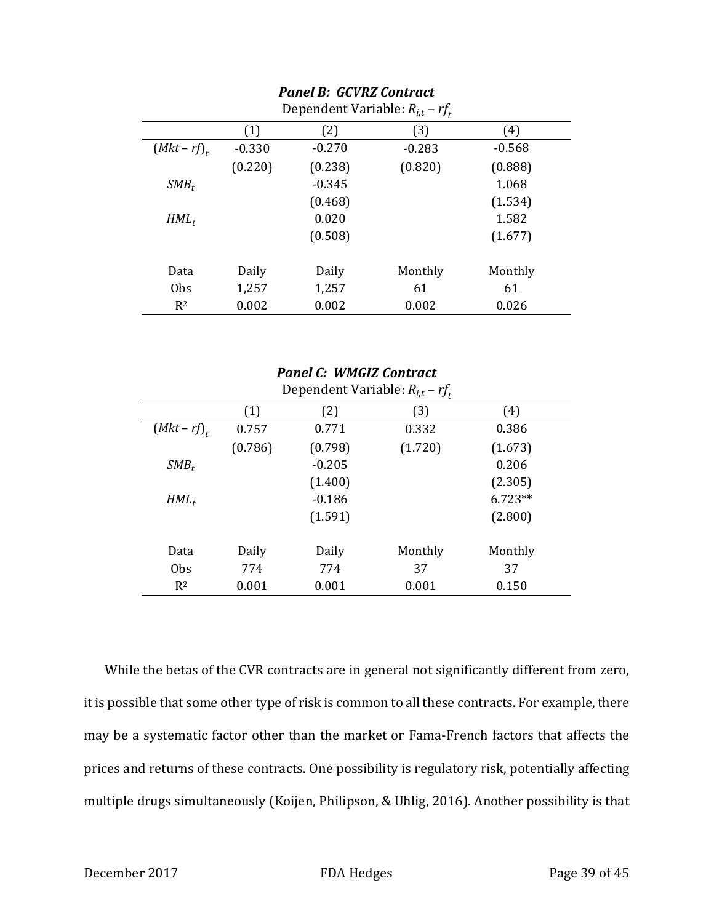| Dependent Variable: $R_{i,t}$ – $rf_t$ |          |          |          |          |  |  |
|----------------------------------------|----------|----------|----------|----------|--|--|
|                                        | (1)      | (2)      | (3)      | (4)      |  |  |
| $(Mkt-rf)_{t}$                         | $-0.330$ | $-0.270$ | $-0.283$ | $-0.568$ |  |  |
|                                        | (0.220)  | (0.238)  | (0.820)  | (0.888)  |  |  |
| $SMB_t$                                |          | $-0.345$ |          | 1.068    |  |  |
|                                        |          | (0.468)  |          | (1.534)  |  |  |
| $HML_t$                                |          | 0.020    |          | 1.582    |  |  |
|                                        |          | (0.508)  |          | (1.677)  |  |  |
|                                        |          |          |          |          |  |  |
| Data                                   | Daily    | Daily    | Monthly  | Monthly  |  |  |
| <b>Obs</b>                             | 1,257    | 1,257    | 61       | 61       |  |  |
| $R^2$                                  | 0.002    | 0.002    | 0.002    | 0.026    |  |  |

# *Panel B: GCVRZ Contract*

|                | Dependent Variable: $R_{i,t}$ – $rf_t$ |          |         |           |  |  |  |
|----------------|----------------------------------------|----------|---------|-----------|--|--|--|
|                | (1)                                    | (2)      | (3)     | (4)       |  |  |  |
| $(Mkt-rf)_{t}$ | 0.757                                  | 0.771    | 0.332   | 0.386     |  |  |  |
|                | (0.786)                                | (0.798)  | (1.720) | (1.673)   |  |  |  |
| $SMB_t$        |                                        | $-0.205$ |         | 0.206     |  |  |  |
|                |                                        | (1.400)  |         | (2.305)   |  |  |  |
| $HML_t$        |                                        | $-0.186$ |         | $6.723**$ |  |  |  |
|                |                                        | (1.591)  |         | (2.800)   |  |  |  |
|                |                                        |          |         |           |  |  |  |
| Data           | Daily                                  | Daily    | Monthly | Monthly   |  |  |  |
| <b>Obs</b>     | 774                                    | 774      | 37      | 37        |  |  |  |
| $R^2$          | 0.001                                  | 0.001    | 0.001   | 0.150     |  |  |  |

*Panel C: WMGIZ Contract*

# While the betas of the CVR contracts are in general not significantly different from zero, it is possible that some other type of risk is common to all these contracts. For example, there may be a systematic factor other than the market or Fama-French factors that affects the prices and returns of these contracts. One possibility is regulatory risk, potentially affecting multiple drugs simultaneously (Koijen, Philipson, & Uhlig, 2016). Another possibility is that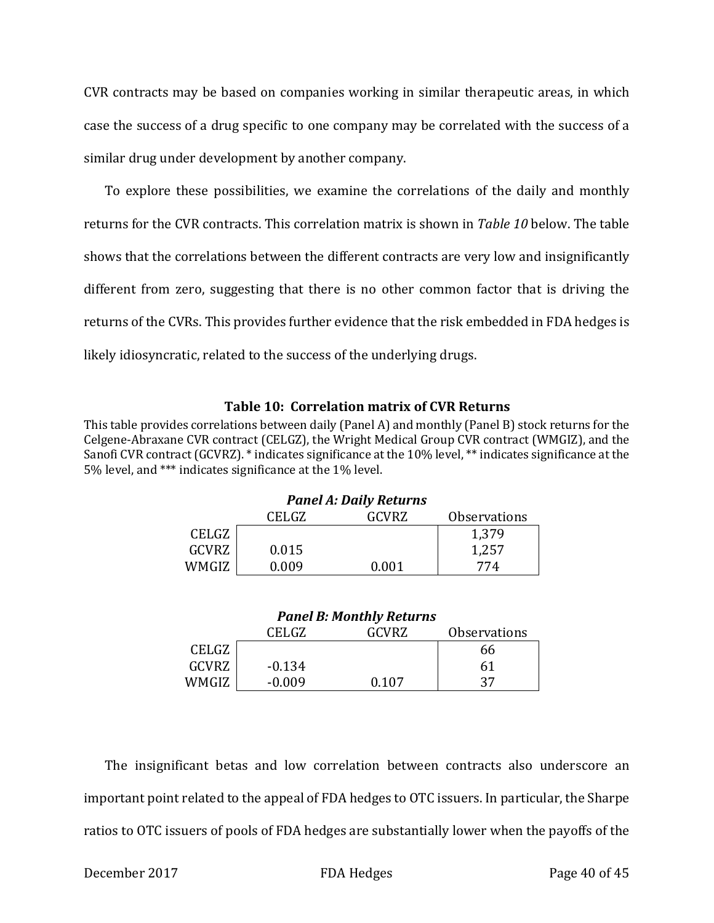CVR contracts may be based on companies working in similar therapeutic areas, in which case the success of a drug specific to one company may be correlated with the success of a similar drug under development by another company.

To explore these possibilities, we examine the correlations of the daily and monthly returns for the CVR contracts. This correlation matrix is shown in *Table 10* below. The table shows that the correlations between the different contracts are very low and insignificantly different from zero, suggesting that there is no other common factor that is driving the returns of the CVRs. This provides further evidence that the risk embedded in FDA hedges is likely idiosyncratic, related to the success of the underlying drugs.

### **Table 10: Correlation matrix of CVR Returns**

This table provides correlations between daily (Panel A) and monthly (Panel B) stock returns for the Celgene-Abraxane CVR contract (CELGZ), the Wright Medical Group CVR contract (WMGIZ), and the Sanofi CVR contract (GCVRZ). \* indicates significance at the 10% level, \*\* indicates significance at the 5% level, and \*\*\* indicates significance at the 1% level.

|              |       | <i>L</i> ancl <i>III</i> Daily Rectains |                            |
|--------------|-------|-----------------------------------------|----------------------------|
|              | CELGZ | GCVRZ                                   | <i><b>Observations</b></i> |
| CELGZ        |       |                                         | 1,379                      |
| <b>GCVRZ</b> | 0.015 |                                         | 1,257                      |
| WMGIZ        | 0.009 | 0.001                                   | 774                        |

# *Panel A: Daily Returns*

| <b>Panel B: Monthly Returns</b> |  |
|---------------------------------|--|
|---------------------------------|--|

|       | CELGZ    | GCVRZ | <b>Observations</b> |
|-------|----------|-------|---------------------|
| CELGZ |          |       | 66                  |
| GCVRZ | $-0.134$ |       | 61                  |
| WMGIZ | $-0.009$ | በ 1በ7 | 37                  |

The insignificant betas and low correlation between contracts also underscore an important point related to the appeal of FDA hedges to OTC issuers. In particular, the Sharpe ratios to OTC issuers of pools of FDA hedges are substantially lower when the payoffs of the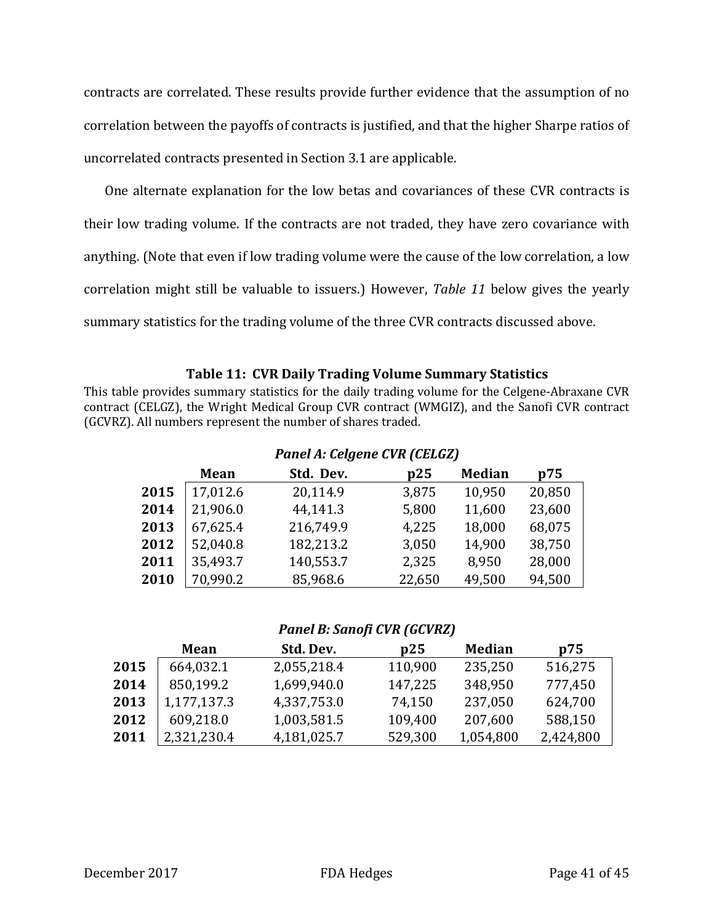contracts are correlated. These results provide further evidence that the assumption of no correlation between the payoffs of contracts is justified, and that the higher Sharpe ratios of uncorrelated contracts presented in Section 3.1 are applicable.

One alternate explanation for the low betas and covariances of these CVR contracts is their low trading volume. If the contracts are not traded, they have zero covariance with anything. (Note that even if low trading volume were the cause of the low correlation, a low correlation might still be valuable to issuers.) However, *Table 11* below gives the yearly summary statistics for the trading volume of the three CVR contracts discussed above.

### **Table 11: CVR Daily Trading Volume Summary Statistics**

This table provides summary statistics for the daily trading volume for the Celgene-Abraxane CVR contract (CELGZ), the Wright Medical Group CVR contract (WMGIZ), and the Sanofi CVR contract (GCVRZ). All numbers represent the number of shares traded.

|      |             | I GIICI A. CCIGCIIC CVIVICELUZI |        |               |        |
|------|-------------|---------------------------------|--------|---------------|--------|
|      | <b>Mean</b> | Std. Dev.                       | p25    | <b>Median</b> | p75    |
| 2015 | 17,012.6    | 20,114.9                        | 3,875  | 10,950        | 20,850 |
| 2014 | 21,906.0    | 44,141.3                        | 5,800  | 11,600        | 23,600 |
| 2013 | 67,625.4    | 216,749.9                       | 4,225  | 18,000        | 68,075 |
| 2012 | 52,040.8    | 182,213.2                       | 3,050  | 14,900        | 38,750 |
| 2011 | 35,493.7    | 140,553.7                       | 2,325  | 8,950         | 28,000 |
| 2010 | 70,990.2    | 85,968.6                        | 22,650 | 49,500        | 94,500 |

### *Panel A: Celgene CVR (CELGZ)*

### *Panel B: Sanofi CVR (GCVRZ)*

| Mean        | Std. Dev. | p25                                                                     | <b>Median</b> | p75       |
|-------------|-----------|-------------------------------------------------------------------------|---------------|-----------|
| 664,032.1   |           | 110,900                                                                 | 235,250       | 516,275   |
| 850,199.2   |           | 147,225                                                                 | 348,950       | 777,450   |
| 1,177,137.3 |           | 74,150                                                                  | 237,050       | 624,700   |
| 609,218.0   |           | 109,400                                                                 | 207,600       | 588,150   |
| 2,321,230.4 |           | 529,300                                                                 |               | 2,424,800 |
|             |           | 2,055,218.4<br>1,699,940.0<br>4,337,753.0<br>1,003,581.5<br>4,181,025.7 |               | 1,054,800 |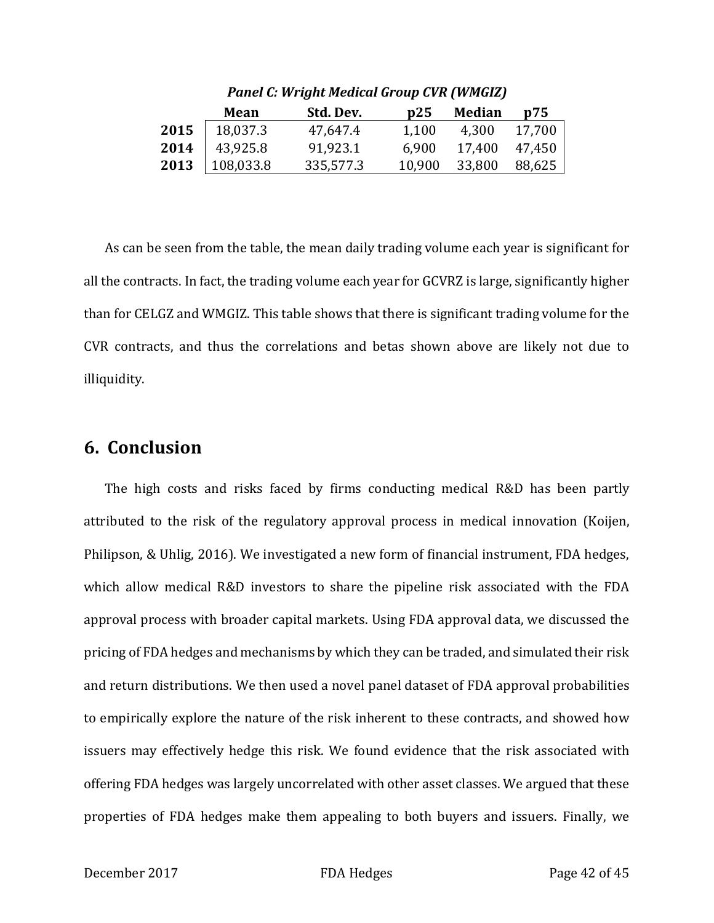|      | <b>Mean</b> | Std. Dev. | p25    | <b>Median</b> | p75    |
|------|-------------|-----------|--------|---------------|--------|
| 2015 | 18,037.3    | 47,647.4  | 1,100  | 4,300         | 17,700 |
| 2014 | 43,925.8    | 91,923.1  | 6,900  | 17,400        | 47,450 |
| 2013 | 108,033.8   | 335,577.3 | 10,900 | 33,800        | 88,625 |
|      |             |           |        |               |        |

*Panel C: Wright Medical Group CVR (WMGIZ)*

As can be seen from the table, the mean daily trading volume each year is significant for all the contracts. In fact, the trading volume each year for GCVRZ is large, significantly higher than for CELGZ and WMGIZ. This table shows that there is significant trading volume for the CVR contracts, and thus the correlations and betas shown above are likely not due to illiquidity.

# **6. Conclusion**

The high costs and risks faced by firms conducting medical R&D has been partly attributed to the risk of the regulatory approval process in medical innovation (Koijen, Philipson, & Uhlig, 2016). We investigated a new form of financial instrument, FDA hedges, which allow medical R&D investors to share the pipeline risk associated with the FDA approval process with broader capital markets. Using FDA approval data, we discussed the pricing of FDA hedges and mechanisms by which they can be traded, and simulated their risk and return distributions. We then used a novel panel dataset of FDA approval probabilities to empirically explore the nature of the risk inherent to these contracts, and showed how issuers may effectively hedge this risk. We found evidence that the risk associated with offering FDA hedges was largely uncorrelated with other asset classes. We argued that these properties of FDA hedges make them appealing to both buyers and issuers. Finally, we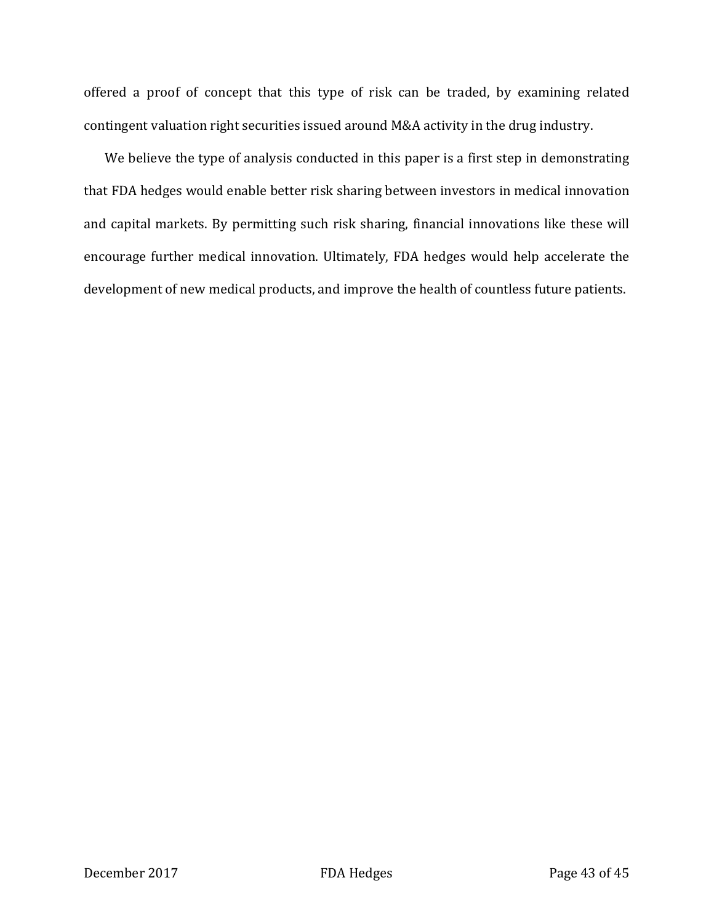offered a proof of concept that this type of risk can be traded, by examining related contingent valuation right securities issued around M&A activity in the drug industry.

We believe the type of analysis conducted in this paper is a first step in demonstrating that FDA hedges would enable better risk sharing between investors in medical innovation and capital markets. By permitting such risk sharing, financial innovations like these will encourage further medical innovation. Ultimately, FDA hedges would help accelerate the development of new medical products, and improve the health of countless future patients.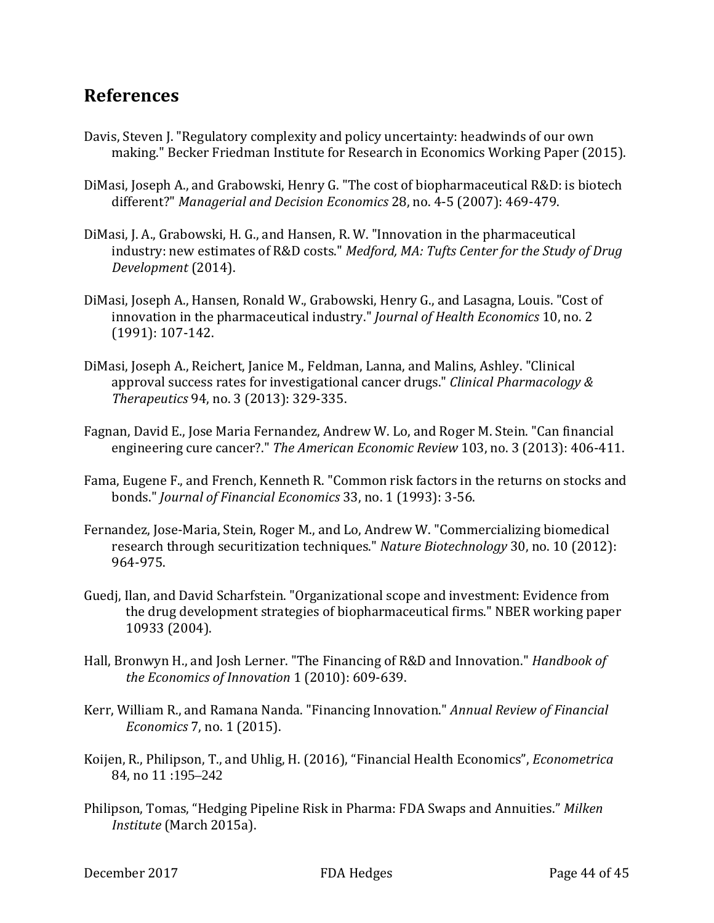# **References**

- Davis, Steven J. "Regulatory complexity and policy uncertainty: headwinds of our own making." Becker Friedman Institute for Research in Economics Working Paper (2015).
- DiMasi, Joseph A., and Grabowski, Henry G. "The cost of biopharmaceutical R&D: is biotech different?" *Managerial and Decision Economics* 28, no. 4-5 (2007): 469-479.
- DiMasi, J. A., Grabowski, H. G., and Hansen, R. W. "Innovation in the pharmaceutical industry: new estimates of R&D costs." *Medford, MA: Tufts Center for the Study of Drug Development* (2014).
- DiMasi, Joseph A., Hansen, Ronald W., Grabowski, Henry G., and Lasagna, Louis. "Cost of innovation in the pharmaceutical industry." *Journal of Health Economics* 10, no. 2 (1991): 107-142.
- DiMasi, Joseph A., Reichert, Janice M., Feldman, Lanna, and Malins, Ashley. "Clinical approval success rates for investigational cancer drugs." *Clinical Pharmacology & Therapeutics* 94, no. 3 (2013): 329-335.
- Fagnan, David E., Jose Maria Fernandez, Andrew W. Lo, and Roger M. Stein. "Can financial engineering cure cancer?." *The American Economic Review* 103, no. 3 (2013): 406-411.
- Fama, Eugene F., and French, Kenneth R. "Common risk factors in the returns on stocks and bonds." *Journal of Financial Economics* 33, no. 1 (1993): 3-56.
- Fernandez, Jose-Maria, Stein, Roger M., and Lo, Andrew W. "Commercializing biomedical research through securitization techniques." *Nature Biotechnology* 30, no. 10 (2012): 964-975.
- Guedj, Ilan, and David Scharfstein. "Organizational scope and investment: Evidence from the drug development strategies of biopharmaceutical firms." NBER working paper 10933 (2004).
- Hall, Bronwyn H., and Josh Lerner. "The Financing of R&D and Innovation." *Handbook of the Economics of Innovation* 1 (2010): 609-639.
- Kerr, William R., and Ramana Nanda. "Financing Innovation." *Annual Review of Financial Economics* 7, no. 1 (2015).
- Koijen, R., Philipson, T., and Uhlig, H. (2016), "Financial Health Economics", *Econometrica* 84, no 11 :195–242
- Philipson, Tomas, "Hedging Pipeline Risk in Pharma: FDA Swaps and Annuities." *Milken Institute* (March 2015a).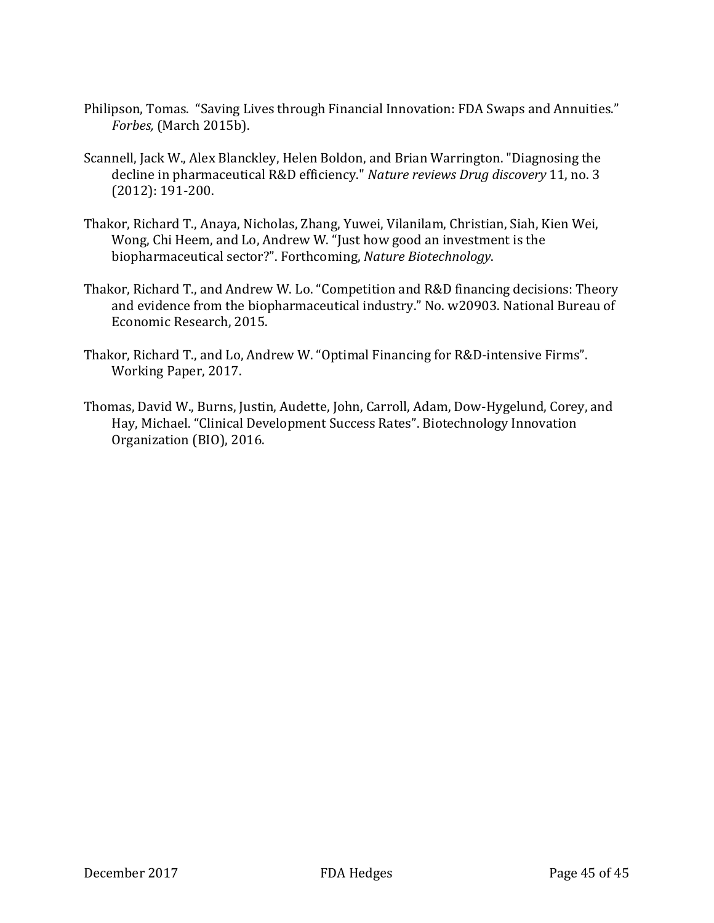- Philipson, Tomas. "Saving Lives through Financial Innovation: FDA Swaps and Annuities." *Forbes,* (March 2015b).
- Scannell, Jack W., Alex Blanckley, Helen Boldon, and Brian Warrington. "Diagnosing the decline in pharmaceutical R&D efficiency." *Nature reviews Drug discovery* 11, no. 3 (2012): 191-200.
- Thakor, Richard T., Anaya, Nicholas, Zhang, Yuwei, Vilanilam, Christian, Siah, Kien Wei, Wong, Chi Heem, and Lo, Andrew W. "Just how good an investment is the biopharmaceutical sector?". Forthcoming, *Nature Biotechnology*.
- Thakor, Richard T., and Andrew W. Lo. "Competition and R&D financing decisions: Theory and evidence from the biopharmaceutical industry." No. w20903. National Bureau of Economic Research, 2015.
- Thakor, Richard T., and Lo, Andrew W. "Optimal Financing for R&D-intensive Firms". Working Paper, 2017.
- Thomas, David W., Burns, Justin, Audette, John, Carroll, Adam, Dow-Hygelund, Corey, and Hay, Michael. "Clinical Development Success Rates". Biotechnology Innovation Organization (BIO), 2016.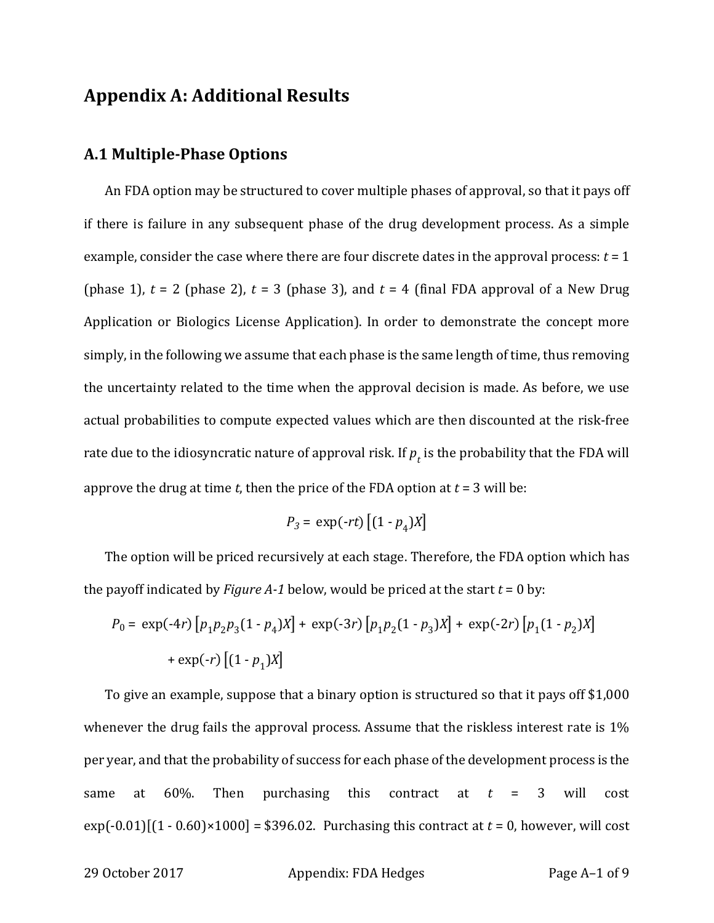# **Appendix A: Additional Results**

### **A.1 Multiple-Phase Options**

An FDA option may be structured to cover multiple phases of approval, so that it pays off if there is failure in any subsequent phase of the drug development process. As a simple example, consider the case where there are four discrete dates in the approval process: *t* = 1 (phase 1),  $t = 2$  (phase 2),  $t = 3$  (phase 3), and  $t = 4$  (final FDA approval of a New Drug Application or Biologics License Application). In order to demonstrate the concept more simply, in the following we assume that each phase is the same length of time, thus removing the uncertainty related to the time when the approval decision is made. As before, we use actual probabilities to compute expected values which are then discounted at the risk-free rate due to the idiosyncratic nature of approval risk. If  $p_t$  is the probability that the FDA will approve the drug at time  $t$ , then the price of the FDA option at  $t = 3$  will be:

$$
P_3 = \exp(-rt) \left[ (1 - p_4)X \right]
$$

The option will be priced recursively at each stage. Therefore, the FDA option which has the payoff indicated by *Figure A-1* below, would be priced at the start  $t = 0$  by:

$$
P_0 = \exp(-4r) \left[ p_1 p_2 p_3 (1 - p_4) X \right] + \exp(-3r) \left[ p_1 p_2 (1 - p_3) X \right] + \exp(-2r) \left[ p_1 (1 - p_2) X \right]
$$

$$
+ \exp(-r) \left[ (1 - p_1) X \right]
$$

To give an example, suppose that a binary option is structured so that it pays off \$1,000 whenever the drug fails the approval process. Assume that the riskless interest rate is 1% per year, and that the probability of success for each phase of the development process is the same at  $60\%$ . Then purchasing this contract at  $t = 3$  will cost  $exp(-0.01)[(1 - 0.60) \times 1000] = $396.02$ . Purchasing this contract at  $t = 0$ , however, will cost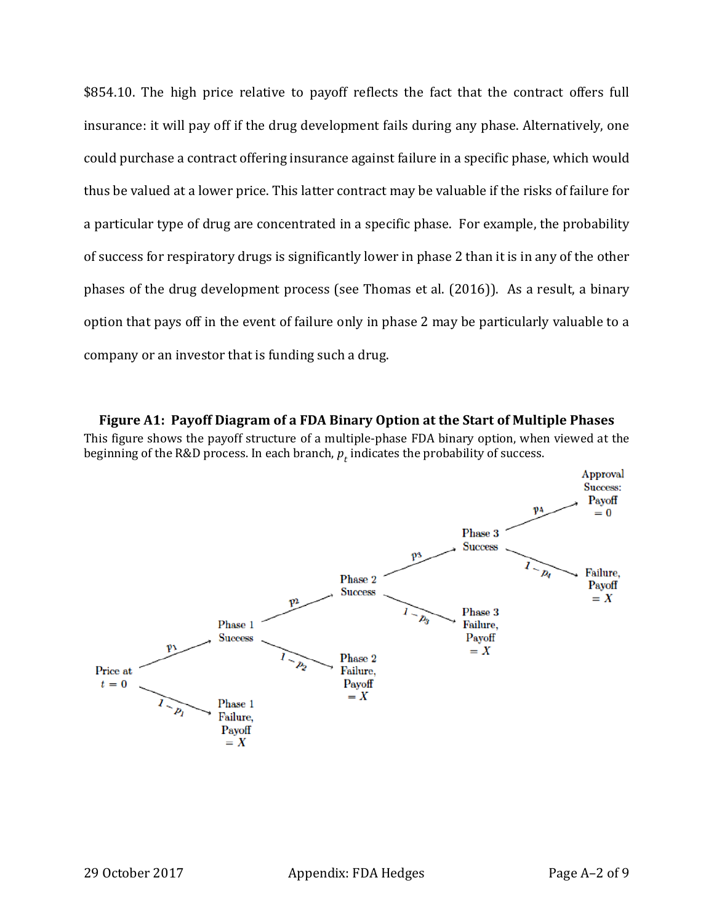\$854.10. The high price relative to payoff reflects the fact that the contract offers full insurance: it will pay off if the drug development fails during any phase. Alternatively, one could purchase a contract offering insurance against failure in a specific phase, which would thus be valued at a lower price. This latter contract may be valuable if the risks of failure for a particular type of drug are concentrated in a specific phase. For example, the probability of success for respiratory drugs is significantly lower in phase 2 than it is in any of the other phases of the drug development process (see Thomas et al. (2016)). As a result, a binary option that pays off in the event of failure only in phase 2 may be particularly valuable to a company or an investor that is funding such a drug.

**Figure A1: Payoff Diagram of a FDA Binary Option at the Start of Multiple Phases** This figure shows the payoff structure of a multiple-phase FDA binary option, when viewed at the beginning of the R&D process. In each branch,  $p_t$  indicates the probability of success.

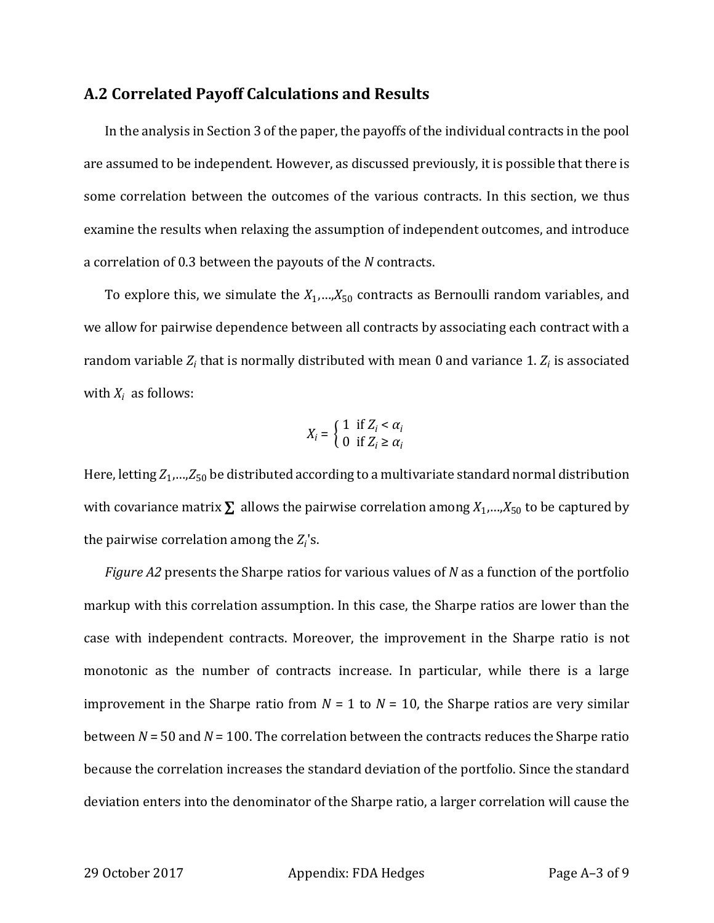### **A.2 Correlated Payoff Calculations and Results**

In the analysis in Section 3 of the paper, the payoffs of the individual contracts in the pool are assumed to be independent. However, as discussed previously, it is possible that there is some correlation between the outcomes of the various contracts. In this section, we thus examine the results when relaxing the assumption of independent outcomes, and introduce a correlation of 0.3 between the payouts of the *N* contracts.

To explore this, we simulate the  $X_1,...,X_{50}$  contracts as Bernoulli random variables, and we allow for pairwise dependence between all contracts by associating each contract with a random variable *Zi* that is normally distributed with mean 0 and variance 1. *Zi* is associated with  $X_i$  as follows:

$$
X_i = \begin{cases} 1 & \text{if } Z_i < \alpha_i \\ 0 & \text{if } Z_i \ge \alpha_i \end{cases}
$$

Here, letting *Z*1,…,*Z*<sup>50</sup> be distributed according to a multivariate standard normal distribution with covariance matrix  $\Sigma$  allows the pairwise correlation among  $X_1,...,X_{50}$  to be captured by the pairwise correlation among the *Zi*'s.

*Figure A2* presents the Sharpe ratios for various values of *N* as a function of the portfolio markup with this correlation assumption. In this case, the Sharpe ratios are lower than the case with independent contracts. Moreover, the improvement in the Sharpe ratio is not monotonic as the number of contracts increase. In particular, while there is a large improvement in the Sharpe ratio from  $N = 1$  to  $N = 10$ , the Sharpe ratios are very similar between *N* = 50 and *N* = 100. The correlation between the contracts reduces the Sharpe ratio because the correlation increases the standard deviation of the portfolio. Since the standard deviation enters into the denominator of the Sharpe ratio, a larger correlation will cause the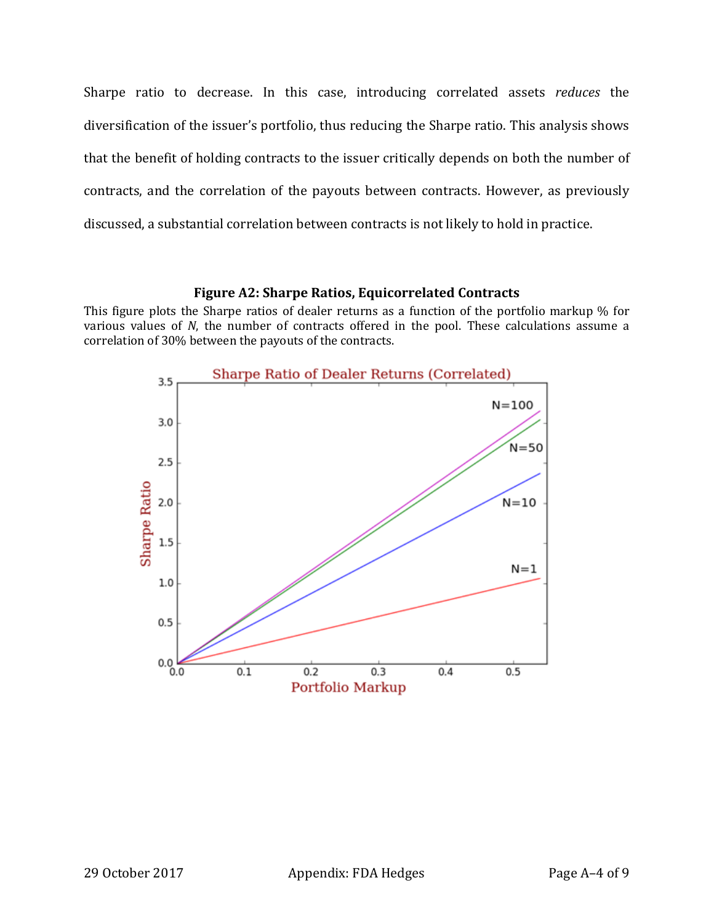Sharpe ratio to decrease. In this case, introducing correlated assets *reduces* the diversification of the issuer's portfolio, thus reducing the Sharpe ratio. This analysis shows that the benefit of holding contracts to the issuer critically depends on both the number of contracts, and the correlation of the payouts between contracts. However, as previously discussed, a substantial correlation between contracts is not likely to hold in practice.

#### **Figure A2: Sharpe Ratios, Equicorrelated Contracts**

This figure plots the Sharpe ratios of dealer returns as a function of the portfolio markup % for various values of *N*, the number of contracts offered in the pool. These calculations assume a correlation of 30% between the payouts of the contracts.

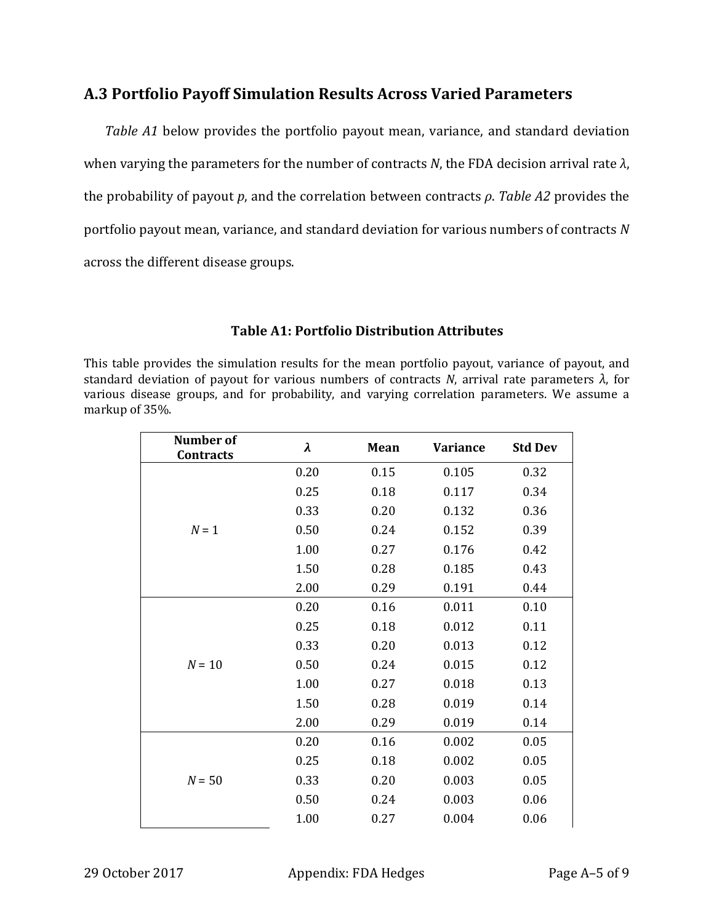# **A.3 Portfolio Payoff Simulation Results Across Varied Parameters**

*Table A1* below provides the portfolio payout mean, variance, and standard deviation when varying the parameters for the number of contracts *N*, the FDA decision arrival rate *λ*, the probability of payout *p*, and the correlation between contracts *ρ*. *Table A2* provides the portfolio payout mean, variance, and standard deviation for various numbers of contracts *N* across the different disease groups.

### **Table A1: Portfolio Distribution Attributes**

This table provides the simulation results for the mean portfolio payout, variance of payout, and standard deviation of payout for various numbers of contracts *N*, arrival rate parameters *λ*, for various disease groups, and for probability, and varying correlation parameters. We assume a markup of 35%.

| <b>Number of</b><br><b>Contracts</b> | λ    | Mean | <b>Variance</b> | <b>Std Dev</b> |
|--------------------------------------|------|------|-----------------|----------------|
|                                      | 0.20 | 0.15 | 0.105           | 0.32           |
|                                      | 0.25 | 0.18 | 0.117           | 0.34           |
|                                      | 0.33 | 0.20 | 0.132           | 0.36           |
| $N = 1$                              | 0.50 | 0.24 | 0.152           | 0.39           |
|                                      | 1.00 | 0.27 | 0.176           | 0.42           |
|                                      | 1.50 | 0.28 | 0.185           | 0.43           |
|                                      | 2.00 | 0.29 | 0.191           | 0.44           |
|                                      | 0.20 | 0.16 | 0.011           | 0.10           |
|                                      | 0.25 | 0.18 | 0.012           | 0.11           |
|                                      | 0.33 | 0.20 | 0.013           | 0.12           |
| $N = 10$                             | 0.50 | 0.24 | 0.015           | 0.12           |
|                                      | 1.00 | 0.27 | 0.018           | 0.13           |
|                                      | 1.50 | 0.28 | 0.019           | 0.14           |
|                                      | 2.00 | 0.29 | 0.019           | 0.14           |
|                                      | 0.20 | 0.16 | 0.002           | 0.05           |
|                                      | 0.25 | 0.18 | 0.002           | 0.05           |
| $N = 50$                             | 0.33 | 0.20 | 0.003           | 0.05           |
|                                      | 0.50 | 0.24 | 0.003           | 0.06           |
|                                      | 1.00 | 0.27 | 0.004           | 0.06           |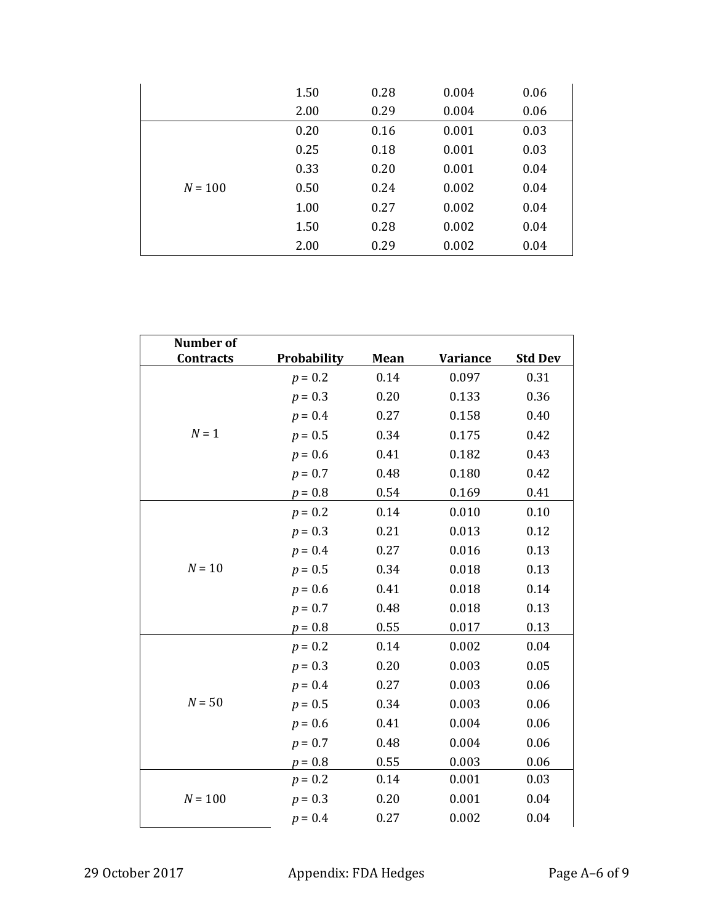|           | 1.50 | 0.28 | 0.004 | 0.06 |
|-----------|------|------|-------|------|
|           | 2.00 | 0.29 | 0.004 | 0.06 |
|           | 0.20 | 0.16 | 0.001 | 0.03 |
|           | 0.25 | 0.18 | 0.001 | 0.03 |
|           | 0.33 | 0.20 | 0.001 | 0.04 |
| $N = 100$ | 0.50 | 0.24 | 0.002 | 0.04 |
|           | 1.00 | 0.27 | 0.002 | 0.04 |
|           | 1.50 | 0.28 | 0.002 | 0.04 |
|           | 2.00 | 0.29 | 0.002 | 0.04 |

| <b>Number of</b> |             |      |                 |                |
|------------------|-------------|------|-----------------|----------------|
| <b>Contracts</b> | Probability | Mean | <b>Variance</b> | <b>Std Dev</b> |
|                  | $p = 0.2$   | 0.14 | 0.097           | 0.31           |
|                  | $p = 0.3$   | 0.20 | 0.133           | 0.36           |
|                  | $p = 0.4$   | 0.27 | 0.158           | 0.40           |
| $N = 1$          | $p = 0.5$   | 0.34 | 0.175           | 0.42           |
|                  | $p = 0.6$   | 0.41 | 0.182           | 0.43           |
|                  | $p = 0.7$   | 0.48 | 0.180           | 0.42           |
|                  | $p = 0.8$   | 0.54 | 0.169           | 0.41           |
|                  | $p = 0.2$   | 0.14 | 0.010           | 0.10           |
|                  | $p = 0.3$   | 0.21 | 0.013           | 0.12           |
|                  | $p = 0.4$   | 0.27 | 0.016           | 0.13           |
| $N = 10$         | $p = 0.5$   | 0.34 | 0.018           | 0.13           |
|                  | $p = 0.6$   | 0.41 | 0.018           | 0.14           |
|                  | $p = 0.7$   | 0.48 | 0.018           | 0.13           |
|                  | $p = 0.8$   | 0.55 | 0.017           | 0.13           |
|                  | $p = 0.2$   | 0.14 | 0.002           | 0.04           |
|                  | $p = 0.3$   | 0.20 | 0.003           | 0.05           |
|                  | $p = 0.4$   | 0.27 | 0.003           | 0.06           |
| $N = 50$         | $p = 0.5$   | 0.34 | 0.003           | 0.06           |
|                  | $p = 0.6$   | 0.41 | 0.004           | 0.06           |
|                  | $p = 0.7$   | 0.48 | 0.004           | 0.06           |
|                  | $p = 0.8$   | 0.55 | 0.003           | 0.06           |
|                  | $p = 0.2$   | 0.14 | 0.001           | 0.03           |
| $N = 100$        | $p = 0.3$   | 0.20 | 0.001           | 0.04           |
|                  | $p = 0.4$   | 0.27 | 0.002           | 0.04           |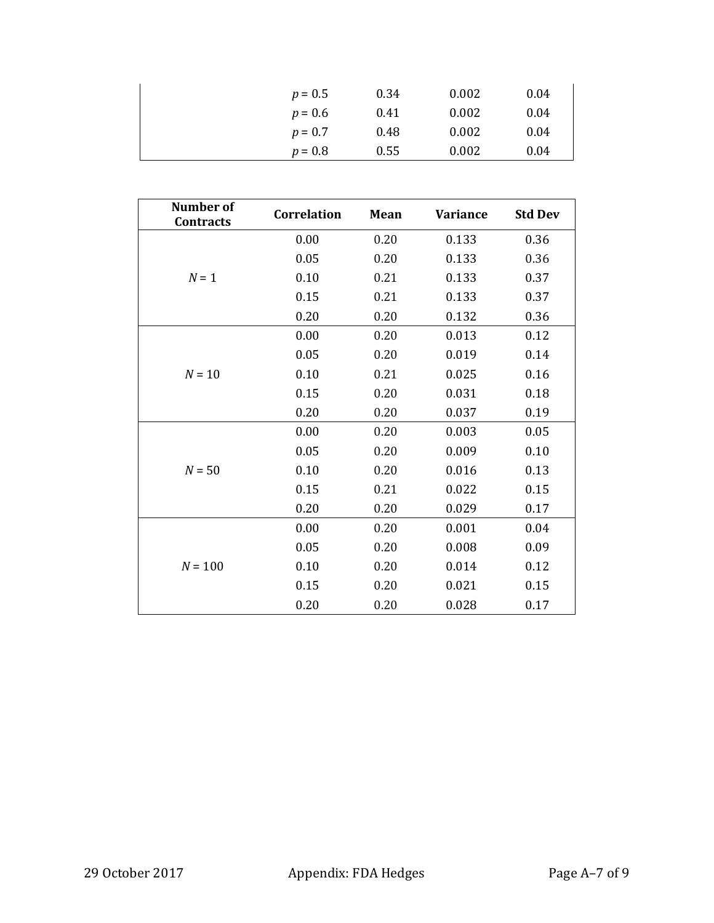| $p = 0.5$ | 0.34 | 0.002 | 0.04 |
|-----------|------|-------|------|
| $p = 0.6$ | 0.41 | 0.002 | 0.04 |
| $p = 0.7$ | 0.48 | 0.002 | 0.04 |
| $p = 0.8$ | 0.55 | 0.002 | 0.04 |

| <b>Number of</b><br><b>Contracts</b> | <b>Correlation</b> | Mean | <b>Variance</b> | <b>Std Dev</b> |
|--------------------------------------|--------------------|------|-----------------|----------------|
|                                      | 0.00               | 0.20 | 0.133           | 0.36           |
|                                      | 0.05               | 0.20 | 0.133           | 0.36           |
| $N = 1$                              | 0.10               | 0.21 | 0.133           | 0.37           |
|                                      | 0.15               | 0.21 | 0.133           | 0.37           |
|                                      | 0.20               | 0.20 | 0.132           | 0.36           |
|                                      | 0.00               | 0.20 | 0.013           | 0.12           |
|                                      | 0.05               | 0.20 | 0.019           | 0.14           |
| $N = 10$                             | 0.10               | 0.21 | 0.025           | 0.16           |
|                                      | 0.15               | 0.20 | 0.031           | 0.18           |
|                                      | 0.20               | 0.20 | 0.037           | 0.19           |
|                                      | 0.00               | 0.20 | 0.003           | 0.05           |
|                                      | 0.05               | 0.20 | 0.009           | 0.10           |
| $N = 50$                             | 0.10               | 0.20 | 0.016           | 0.13           |
|                                      | 0.15               | 0.21 | 0.022           | 0.15           |
|                                      | 0.20               | 0.20 | 0.029           | 0.17           |
|                                      | 0.00               | 0.20 | 0.001           | 0.04           |
|                                      | 0.05               | 0.20 | 0.008           | 0.09           |
| $N = 100$                            | 0.10               | 0.20 | 0.014           | 0.12           |
|                                      | 0.15               | 0.20 | 0.021           | 0.15           |
|                                      | 0.20               | 0.20 | 0.028           | 0.17           |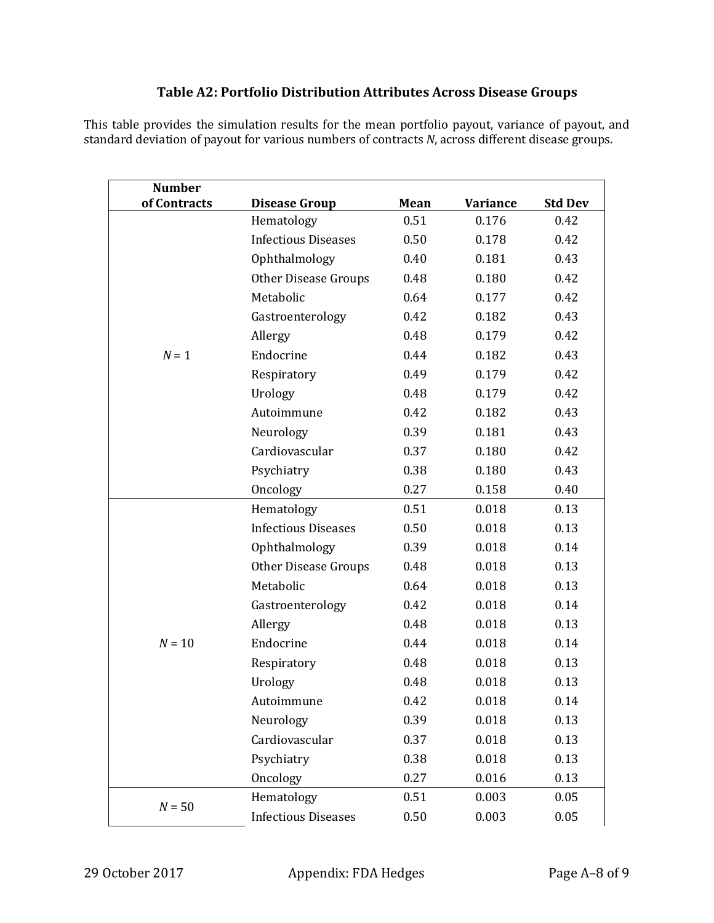# **Table A2: Portfolio Distribution Attributes Across Disease Groups**

This table provides the simulation results for the mean portfolio payout, variance of payout, and standard deviation of payout for various numbers of contracts *N*, across different disease groups.

| <b>Number</b> |                             |      |                 |                |
|---------------|-----------------------------|------|-----------------|----------------|
| of Contracts  | <b>Disease Group</b>        | Mean | <b>Variance</b> | <b>Std Dev</b> |
|               | Hematology                  | 0.51 | 0.176           | 0.42           |
|               | <b>Infectious Diseases</b>  | 0.50 | 0.178           | 0.42           |
|               | Ophthalmology               | 0.40 | 0.181           | 0.43           |
|               | <b>Other Disease Groups</b> | 0.48 | 0.180           | 0.42           |
|               | Metabolic                   | 0.64 | 0.177           | 0.42           |
|               | Gastroenterology            | 0.42 | 0.182           | 0.43           |
|               | Allergy                     | 0.48 | 0.179           | 0.42           |
| $N = 1$       | Endocrine                   | 0.44 | 0.182           | 0.43           |
|               | Respiratory                 | 0.49 | 0.179           | 0.42           |
|               | Urology                     | 0.48 | 0.179           | 0.42           |
|               | Autoimmune                  | 0.42 | 0.182           | 0.43           |
|               | Neurology                   | 0.39 | 0.181           | 0.43           |
|               | Cardiovascular              | 0.37 | 0.180           | 0.42           |
|               | Psychiatry                  | 0.38 | 0.180           | 0.43           |
|               | Oncology                    | 0.27 | 0.158           | 0.40           |
|               | Hematology                  | 0.51 | 0.018           | 0.13           |
|               | <b>Infectious Diseases</b>  | 0.50 | 0.018           | 0.13           |
|               | Ophthalmology               | 0.39 | 0.018           | 0.14           |
|               | <b>Other Disease Groups</b> | 0.48 | 0.018           | 0.13           |
|               | Metabolic                   | 0.64 | 0.018           | 0.13           |
|               | Gastroenterology            | 0.42 | 0.018           | 0.14           |
|               | Allergy                     | 0.48 | 0.018           | 0.13           |
| $N = 10$      | Endocrine                   | 0.44 | 0.018           | 0.14           |
|               | Respiratory                 | 0.48 | 0.018           | 0.13           |
|               | Urology                     | 0.48 | 0.018           | 0.13           |
|               | Autoimmune                  | 0.42 | 0.018           | 0.14           |
|               | Neurology                   | 0.39 | 0.018           | 0.13           |
|               | Cardiovascular              | 0.37 | 0.018           | 0.13           |
|               | Psychiatry                  | 0.38 | 0.018           | 0.13           |
|               | Oncology                    | 0.27 | 0.016           | 0.13           |
|               | Hematology                  | 0.51 | 0.003           | 0.05           |
| $N = 50$      | <b>Infectious Diseases</b>  | 0.50 | 0.003           | 0.05           |
|               |                             |      |                 |                |